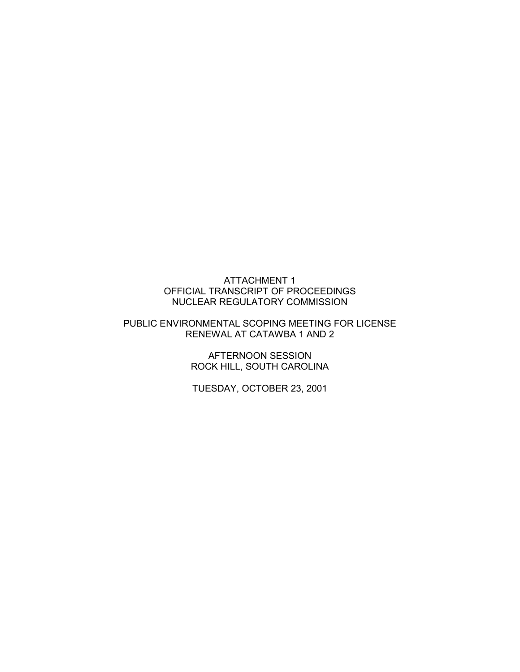## ATTACHMENT 1 OFFICIAL TRANSCRIPT OF PROCEEDINGS NUCLEAR REGULATORY COMMISSION

## PUBLIC ENVIRONMENTAL SCOPING MEETING FOR LICENSE RENEWAL AT CATAWBA 1 AND 2

AFTERNOON SESSION ROCK HILL, SOUTH CAROLINA

TUESDAY, OCTOBER 23, 2001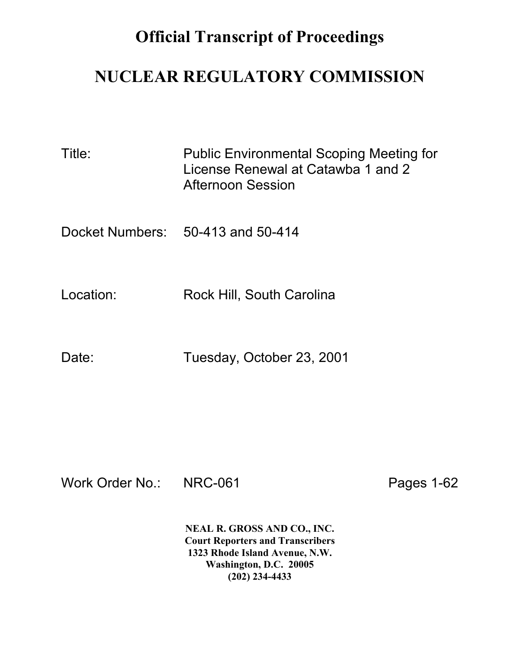## **Official Transcript of Proceedings**

## **NUCLEAR REGULATORY COMMISSION**

| Title:    | <b>Public Environmental Scoping Meeting for</b><br>License Renewal at Catawba 1 and 2<br>Afternoon Session |
|-----------|------------------------------------------------------------------------------------------------------------|
|           | Docket Numbers: 50-413 and 50-414                                                                          |
| Location: | Rock Hill, South Carolina                                                                                  |
| Date:     | Tuesday, October 23, 2001                                                                                  |

Work Order No.: NRC-061 Pages 1-62

**NEAL R. GROSS AND CO., INC. Court Reporters and Transcribers 1323 Rhode Island Avenue, N.W. Washington, D.C. 20005 (202) 234-4433**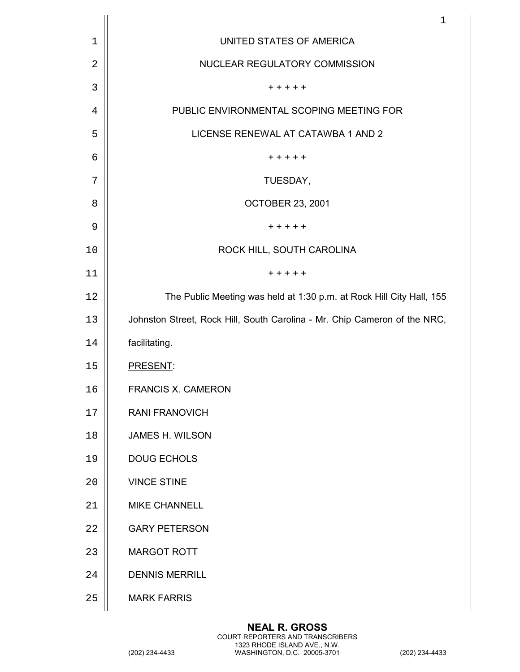|    | $\mathbf 1$                                                               |
|----|---------------------------------------------------------------------------|
| 1  | UNITED STATES OF AMERICA                                                  |
| 2  | NUCLEAR REGULATORY COMMISSION                                             |
| 3  | $+ + + + +$                                                               |
| 4  | PUBLIC ENVIRONMENTAL SCOPING MEETING FOR                                  |
| 5  | LICENSE RENEWAL AT CATAWBA 1 AND 2                                        |
| 6  | + + + + +                                                                 |
| 7  | TUESDAY,                                                                  |
| 8  | <b>OCTOBER 23, 2001</b>                                                   |
| 9  | $+ + + + +$                                                               |
| 10 | ROCK HILL, SOUTH CAROLINA                                                 |
| 11 | $+ + + + +$                                                               |
| 12 | The Public Meeting was held at 1:30 p.m. at Rock Hill City Hall, 155      |
| 13 | Johnston Street, Rock Hill, South Carolina - Mr. Chip Cameron of the NRC, |
| 14 | facilitating.                                                             |
| 15 | PRESENT:                                                                  |
| 16 | <b>FRANCIS X. CAMERON</b>                                                 |
| 17 | <b>RANI FRANOVICH</b>                                                     |
| 18 | <b>JAMES H. WILSON</b>                                                    |
| 19 | <b>DOUG ECHOLS</b>                                                        |
| 20 | <b>VINCE STINE</b>                                                        |
| 21 | <b>MIKE CHANNELL</b>                                                      |
| 22 | <b>GARY PETERSON</b>                                                      |
| 23 | <b>MARGOT ROTT</b>                                                        |
| 24 | <b>DENNIS MERRILL</b>                                                     |
| 25 | <b>MARK FARRIS</b>                                                        |
|    |                                                                           |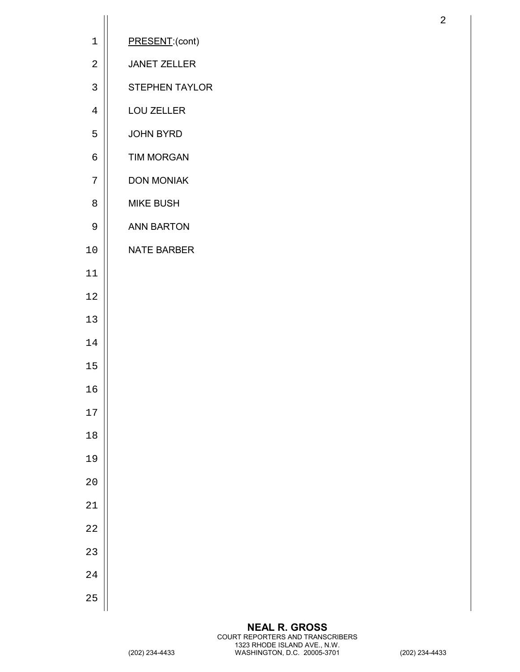| $\mathbf 1$    | PRESENT:(cont)      |
|----------------|---------------------|
| $\sqrt{2}$     | <b>JANET ZELLER</b> |
| $\mathsf{3}$   | STEPHEN TAYLOR      |
| $\overline{4}$ | LOU ZELLER          |
| 5              | JOHN BYRD           |
| $\epsilon$     | <b>TIM MORGAN</b>   |
| 7              | <b>DON MONIAK</b>   |
| 8              | <b>MIKE BUSH</b>    |
| $\mathsf 9$    | <b>ANN BARTON</b>   |
| 10             | <b>NATE BARBER</b>  |
| 11             |                     |
| $1\,2$         |                     |
| 13             |                     |
| 14             |                     |
| $15$           |                     |
| 16             |                     |
| $17\,$         |                     |
| $18\,$         |                     |
| 19             |                     |
| $20$           |                     |
| 21             |                     |
| 22             |                     |
| 23             |                     |
| 24             |                     |
| 25             |                     |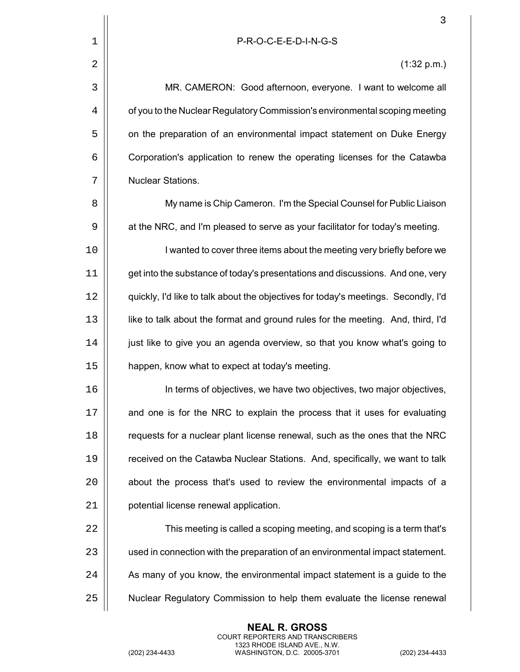|             | 3                                                                                  |
|-------------|------------------------------------------------------------------------------------|
| $\mathbf 1$ | P-R-O-C-E-E-D-I-N-G-S                                                              |
| 2           | (1:32 p.m.)                                                                        |
| 3           | MR. CAMERON: Good afternoon, everyone. I want to welcome all                       |
| 4           | of you to the Nuclear Regulatory Commission's environmental scoping meeting        |
| 5           | on the preparation of an environmental impact statement on Duke Energy             |
| 6           | Corporation's application to renew the operating licenses for the Catawba          |
| 7           | Nuclear Stations.                                                                  |
| 8           | My name is Chip Cameron. I'm the Special Counsel for Public Liaison                |
| 9           | at the NRC, and I'm pleased to serve as your facilitator for today's meeting.      |
| 10          | I wanted to cover three items about the meeting very briefly before we             |
| 11          | get into the substance of today's presentations and discussions. And one, very     |
| 12          | quickly, I'd like to talk about the objectives for today's meetings. Secondly, I'd |
| 13          | like to talk about the format and ground rules for the meeting. And, third, I'd    |
| 14          | just like to give you an agenda overview, so that you know what's going to         |
| 15          | happen, know what to expect at today's meeting.                                    |
| 16          | In terms of objectives, we have two objectives, two major objectives,              |
| 17          | and one is for the NRC to explain the process that it uses for evaluating          |
| 18          | requests for a nuclear plant license renewal, such as the ones that the NRC        |
| 19          | received on the Catawba Nuclear Stations. And, specifically, we want to talk       |
| 20          | about the process that's used to review the environmental impacts of a             |
| 21          | potential license renewal application.                                             |
| 22          | This meeting is called a scoping meeting, and scoping is a term that's             |
| 23          | used in connection with the preparation of an environmental impact statement.      |
| 24          | As many of you know, the environmental impact statement is a guide to the          |
| 25          | Nuclear Regulatory Commission to help them evaluate the license renewal            |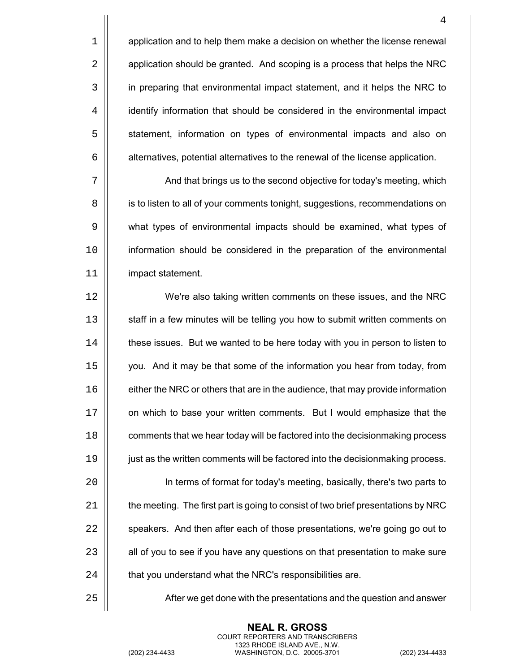$1 \parallel$  application and to help them make a decision on whether the license renewal 2 | application should be granted. And scoping is a process that helps the NRC 3 | in preparing that environmental impact statement, and it helps the NRC to 4 | identify information that should be considered in the environmental impact 5 | statement, information on types of environmental impacts and also on  $6 \mid$  alternatives, potential alternatives to the renewal of the license application.

7 | And that brings us to the second objective for today's meeting, which 8 | is to listen to all of your comments tonight, suggestions, recommendations on 9 | what types of environmental impacts should be examined, what types of 10 information should be considered in the preparation of the environmental 11 impact statement.

 We're also taking written comments on these issues, and the NRC 13 | staff in a few minutes will be telling you how to submit written comments on 14 | these issues. But we wanted to be here today with you in person to listen to you. And it may be that some of the information you hear from today, from  $\vert\vert$  either the NRC or others that are in the audience, that may provide information 17 | on which to base your written comments. But I would emphasize that the **comments that we hear today will be factored into the decisionmaking process**  just as the written comments will be factored into the decisionmaking process. In terms of format for today's meeting, basically, there's two parts to

  $\parallel$  the meeting. The first part is going to consist of two brief presentations by NRC  $\parallel$  speakers. And then after each of those presentations, we're going go out to  $\parallel$  all of you to see if you have any questions on that presentation to make sure  $\parallel$  that you understand what the NRC's responsibilities are.

25 |  $\vert$  6 After we get done with the presentations and the question and answer

**NEAL R. GROSS** COURT REPORTERS AND TRANSCRIBERS 1323 RHODE ISLAND AVE., N.W.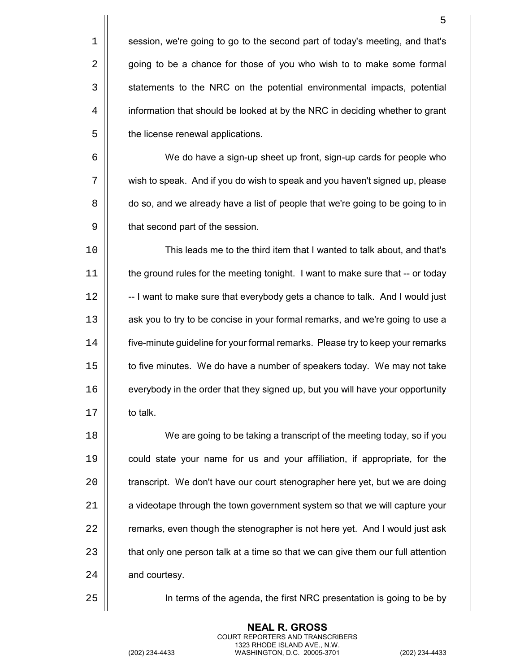$1$  | session, we're going to go to the second part of today's meeting, and that's 2 | going to be a chance for those of you who wish to to make some formal 3 | statements to the NRC on the potential environmental impacts, potential 4 | information that should be looked at by the NRC in deciding whether to grant 5 | the license renewal applications.

6 We do have a sign-up sheet up front, sign-up cards for people who 7 | wish to speak. And if you do wish to speak and you haven't signed up, please 8  $\vert$  do so, and we already have a list of people that we're going to be going to in 9 | that second part of the session.

 This leads me to the third item that I wanted to talk about, and that's the ground rules for the meeting tonight. I want to make sure that -- or today  $\parallel$  -- I want to make sure that everybody gets a chance to talk. And I would just 13 | ask you to try to be concise in your formal remarks, and we're going to use a 14 | five-minute guideline for your formal remarks. Please try to keep your remarks 15 | to five minutes. We do have a number of speakers today. We may not take  $\vert\vert$  everybody in the order that they signed up, but you will have your opportunity **II** to talk

18 | We are going to be taking a transcript of the meeting today, so if you could state your name for us and your affiliation, if appropriate, for the  $\parallel$  transcript. We don't have our court stenographer here yet, but we are doing  $\parallel$  a videotape through the town government system so that we will capture your  $\parallel$  remarks, even though the stenographer is not here yet. And I would just ask  $\parallel$  that only one person talk at a time so that we can give them our full attention | and courtesy.

25 In terms of the agenda, the first NRC presentation is going to be by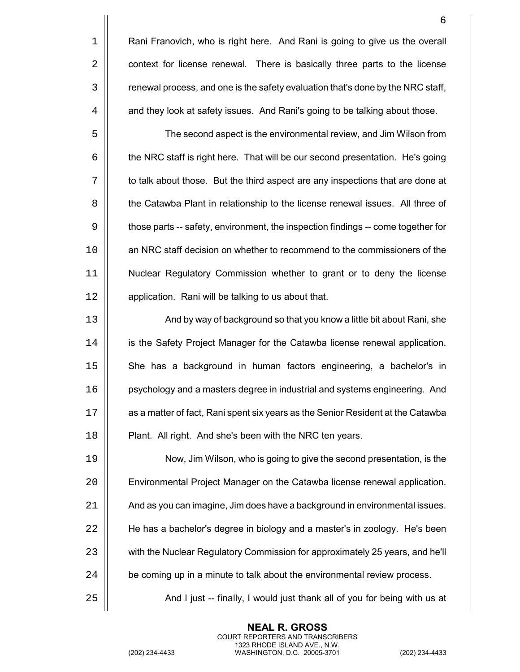|    | 6                                                                                |
|----|----------------------------------------------------------------------------------|
| 1  | Rani Franovich, who is right here. And Rani is going to give us the overall      |
| 2  | context for license renewal. There is basically three parts to the license       |
| 3  | renewal process, and one is the safety evaluation that's done by the NRC staff,  |
| 4  | and they look at safety issues. And Rani's going to be talking about those.      |
| 5  | The second aspect is the environmental review, and Jim Wilson from               |
| 6  | the NRC staff is right here. That will be our second presentation. He's going    |
| 7  | to talk about those. But the third aspect are any inspections that are done at   |
| 8  | the Catawba Plant in relationship to the license renewal issues. All three of    |
| 9  | those parts -- safety, environment, the inspection findings -- come together for |
| 10 | an NRC staff decision on whether to recommend to the commissioners of the        |
| 11 | Nuclear Regulatory Commission whether to grant or to deny the license            |
| 12 | application. Rani will be talking to us about that.                              |
| 13 | And by way of background so that you know a little bit about Rani, she           |
| 14 | is the Safety Project Manager for the Catawba license renewal application.       |
| 15 | She has a background in human factors engineering, a bachelor's in               |
| 16 | psychology and a masters degree in industrial and systems engineering. And       |
| 17 | as a matter of fact, Rani spent six years as the Senior Resident at the Catawba  |
| 18 | Plant. All right. And she's been with the NRC ten years.                         |
| 19 | Now, Jim Wilson, who is going to give the second presentation, is the            |
| 20 | Environmental Project Manager on the Catawba license renewal application.        |
| 21 | And as you can imagine, Jim does have a background in environmental issues.      |
| 22 | He has a bachelor's degree in biology and a master's in zoology. He's been       |
| 23 | with the Nuclear Regulatory Commission for approximately 25 years, and he'll     |
| 24 | be coming up in a minute to talk about the environmental review process.         |
| 25 | And I just -- finally, I would just thank all of you for being with us at        |
|    |                                                                                  |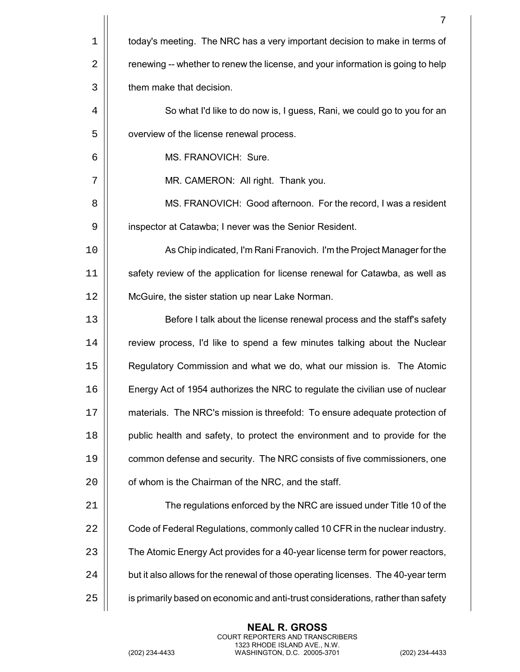|    | 7                                                                                |
|----|----------------------------------------------------------------------------------|
| 1  | today's meeting. The NRC has a very important decision to make in terms of       |
| 2  | renewing -- whether to renew the license, and your information is going to help  |
| 3  | them make that decision.                                                         |
| 4  | So what I'd like to do now is, I guess, Rani, we could go to you for an          |
| 5  | overview of the license renewal process.                                         |
| 6  | MS. FRANOVICH: Sure.                                                             |
| 7  | MR. CAMERON: All right. Thank you.                                               |
| 8  | MS. FRANOVICH: Good afternoon. For the record, I was a resident                  |
| 9  | inspector at Catawba; I never was the Senior Resident.                           |
| 10 | As Chip indicated, I'm Rani Franovich. I'm the Project Manager for the           |
| 11 | safety review of the application for license renewal for Catawba, as well as     |
| 12 | McGuire, the sister station up near Lake Norman.                                 |
| 13 | Before I talk about the license renewal process and the staff's safety           |
| 14 | review process, I'd like to spend a few minutes talking about the Nuclear        |
| 15 | Regulatory Commission and what we do, what our mission is. The Atomic            |
| 16 | Energy Act of 1954 authorizes the NRC to regulate the civilian use of nuclear    |
| 17 | materials. The NRC's mission is threefold: To ensure adequate protection of      |
| 18 | public health and safety, to protect the environment and to provide for the      |
| 19 | common defense and security. The NRC consists of five commissioners, one         |
| 20 | of whom is the Chairman of the NRC, and the staff.                               |
| 21 | The regulations enforced by the NRC are issued under Title 10 of the             |
| 22 | Code of Federal Regulations, commonly called 10 CFR in the nuclear industry.     |
| 23 | The Atomic Energy Act provides for a 40-year license term for power reactors,    |
| 24 | but it also allows for the renewal of those operating licenses. The 40-year term |
| 25 | is primarily based on economic and anti-trust considerations, rather than safety |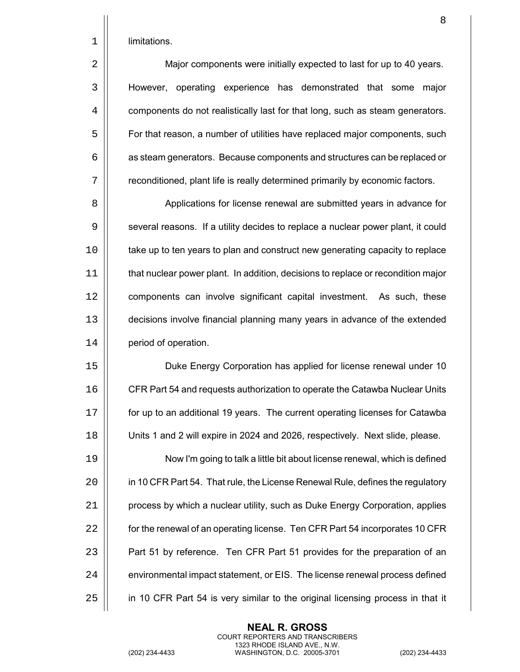8

|  |  | limitations. |
|--|--|--------------|
|--|--|--------------|

2 | Major components were initially expected to last for up to 40 years. However, operating experience has demonstrated that some major  $\vert\vert$  components do not realistically last for that long, such as steam generators.  $\vert\vert$  For that reason, a number of utilities have replaced major components, such  $\vert$  as steam generators. Because components and structures can be replaced or 7 | reconditioned, plant life is really determined primarily by economic factors.

8 | Applications for license renewal are submitted years in advance for 9 | several reasons. If a utility decides to replace a nuclear power plant, it could 10 | take up to ten years to plan and construct new generating capacity to replace 11 that nuclear power plant. In addition, decisions to replace or recondition major 12 | components can involve significant capital investment. As such, these 13 decisions involve financial planning many years in advance of the extended 14 **| period of operation.** 

 Duke Energy Corporation has applied for license renewal under 10  $\vert\vert$  CFR Part 54 and requests authorization to operate the Catawba Nuclear Units for up to an additional 19 years. The current operating licenses for Catawba Units 1 and 2 will expire in 2024 and 2026, respectively. Next slide, please.

19 Now I'm going to talk a little bit about license renewal, which is defined 20 | in 10 CFR Part 54. That rule, the License Renewal Rule, defines the regulatory  $21$  | process by which a nuclear utility, such as Duke Energy Corporation, applies 22 | for the renewal of an operating license. Ten CFR Part 54 incorporates 10 CFR 23 | Part 51 by reference. Ten CFR Part 51 provides for the preparation of an 24 | environmental impact statement, or EIS. The license renewal process defined 25 | in 10 CFR Part 54 is very similar to the original licensing process in that it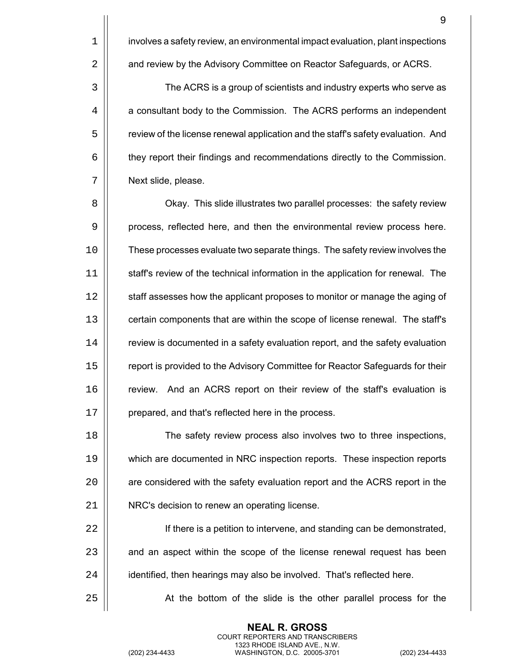1 | involves a safety review, an environmental impact evaluation, plant inspections 2 | and review by the Advisory Committee on Reactor Safeguards, or ACRS.

3  $\vert$  The ACRS is a group of scientists and industry experts who serve as 4 | a consultant body to the Commission. The ACRS performs an independent 5  $\vert\vert$  review of the license renewal application and the staff's safety evaluation. And 6 they report their findings and recommendations directly to the Commission. 7 | Next slide, please.

8  $\vert$  Okay. This slide illustrates two parallel processes: the safety review 9 **process, reflected here, and then the environmental review process here.** 10 These processes evaluate two separate things. The safety review involves the 11 staff's review of the technical information in the application for renewal. The 12 | staff assesses how the applicant proposes to monitor or manage the aging of 13 | certain components that are within the scope of license renewal. The staff's  $14$   $\parallel$  review is documented in a safety evaluation report, and the safety evaluation 15 | report is provided to the Advisory Committee for Reactor Safeguards for their 16 **Fig.** review. And an ACRS report on their review of the staff's evaluation is 17 | prepared, and that's reflected here in the process.

**The safety review process also involves two to three inspections,**  which are documented in NRC inspection reports. These inspection reports 20 | are considered with the safety evaluation report and the ACRS report in the NRC's decision to renew an operating license.

22 If there is a petition to intervene, and standing can be demonstrated,  $23$   $\parallel$  and an aspect within the scope of the license renewal request has been 24 | identified, then hearings may also be involved. That's reflected here.

25 | At the bottom of the slide is the other parallel process for the

**NEAL R. GROSS** COURT REPORTERS AND TRANSCRIBERS 1323 RHODE ISLAND AVE., N.W.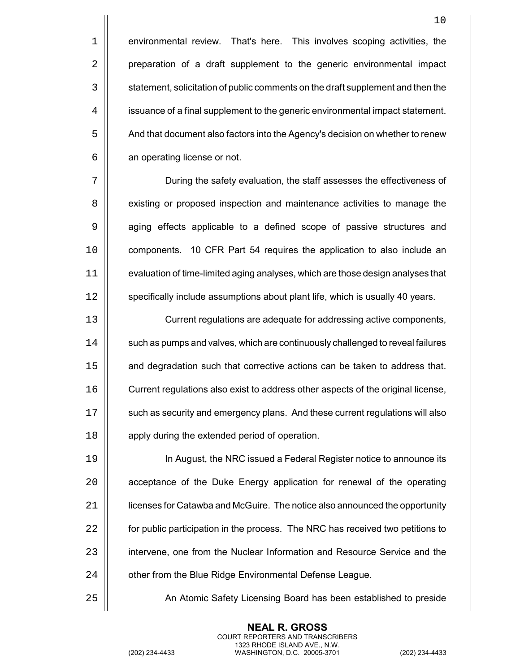1 **environmental review.** That's here. This involves scoping activities, the 2 | preparation of a draft supplement to the generic environmental impact 3  $\vert\vert$  statement, solicitation of public comments on the draft supplement and then the 4 | issuance of a final supplement to the generic environmental impact statement. 5  $\vert$  And that document also factors into the Agency's decision on whether to renew  $6 \parallel$  an operating license or not.

 During the safety evaluation, the staff assesses the effectiveness of **existing or proposed inspection and maintenance activities to manage the** 9 | aging effects applicable to a defined scope of passive structures and components. 10 CFR Part 54 requires the application to also include an evaluation of time-limited aging analyses, which are those design analyses that 12 | specifically include assumptions about plant life, which is usually 40 years.

13 Current regulations are adequate for addressing active components, 14  $\vert\vert$  such as pumps and valves, which are continuously challenged to reveal failures 15 | and degradation such that corrective actions can be taken to address that. 16  $\vert\vert$  Current regulations also exist to address other aspects of the original license, 17 | such as security and emergency plans. And these current regulations will also 18 | apply during the extended period of operation.

 In August, the NRC issued a Federal Register notice to announce its **a** acceptance of the Duke Energy application for renewal of the operating licenses for Catawba and McGuire. The notice also announced the opportunity  $\parallel$  for public participation in the process. The NRC has received two petitions to 23 | intervene, one from the Nuclear Information and Resource Service and the 24 | other from the Blue Ridge Environmental Defense League.

25 An Atomic Safety Licensing Board has been established to preside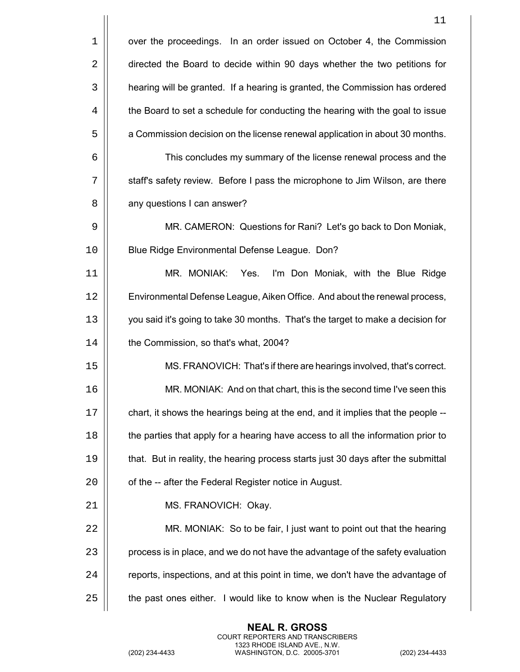|    | 11                                                                                |
|----|-----------------------------------------------------------------------------------|
| 1  | over the proceedings. In an order issued on October 4, the Commission             |
| 2  | directed the Board to decide within 90 days whether the two petitions for         |
| 3  | hearing will be granted. If a hearing is granted, the Commission has ordered      |
| 4  | the Board to set a schedule for conducting the hearing with the goal to issue     |
| 5  | a Commission decision on the license renewal application in about 30 months.      |
| 6  | This concludes my summary of the license renewal process and the                  |
| 7  | staff's safety review. Before I pass the microphone to Jim Wilson, are there      |
| 8  | any questions I can answer?                                                       |
| 9  | MR. CAMERON: Questions for Rani? Let's go back to Don Moniak,                     |
| 10 | Blue Ridge Environmental Defense League. Don?                                     |
| 11 | MR. MONIAK: Yes.<br>I'm Don Moniak, with the Blue Ridge                           |
| 12 | Environmental Defense League, Aiken Office. And about the renewal process,        |
| 13 | you said it's going to take 30 months. That's the target to make a decision for   |
| 14 | the Commission, so that's what, 2004?                                             |
| 15 | MS. FRANOVICH: That's if there are hearings involved, that's correct.             |
| 16 | MR. MONIAK: And on that chart, this is the second time I've seen this             |
| 17 | chart, it shows the hearings being at the end, and it implies that the people --  |
| 18 | the parties that apply for a hearing have access to all the information prior to  |
| 19 | that. But in reality, the hearing process starts just 30 days after the submittal |
| 20 | of the -- after the Federal Register notice in August.                            |
| 21 | MS. FRANOVICH: Okay.                                                              |
| 22 | MR. MONIAK: So to be fair, I just want to point out that the hearing              |
| 23 | process is in place, and we do not have the advantage of the safety evaluation    |
| 24 | reports, inspections, and at this point in time, we don't have the advantage of   |
| 25 | the past ones either. I would like to know when is the Nuclear Regulatory         |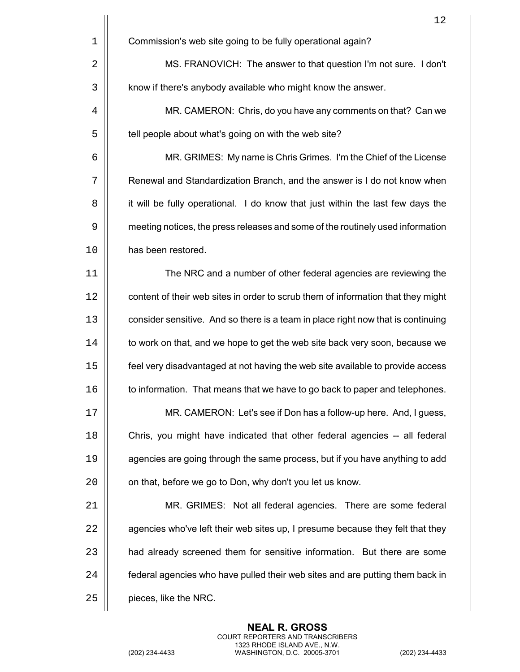|    | 12                                                                               |
|----|----------------------------------------------------------------------------------|
| 1  | Commission's web site going to be fully operational again?                       |
| 2  | MS. FRANOVICH: The answer to that question I'm not sure. I don't                 |
| 3  | know if there's anybody available who might know the answer.                     |
| 4  | MR. CAMERON: Chris, do you have any comments on that? Can we                     |
| 5  | tell people about what's going on with the web site?                             |
| 6  | MR. GRIMES: My name is Chris Grimes. I'm the Chief of the License                |
| 7  | Renewal and Standardization Branch, and the answer is I do not know when         |
| 8  | it will be fully operational. I do know that just within the last few days the   |
| 9  | meeting notices, the press releases and some of the routinely used information   |
| 10 | has been restored.                                                               |
| 11 | The NRC and a number of other federal agencies are reviewing the                 |
| 12 | content of their web sites in order to scrub them of information that they might |
| 13 | consider sensitive. And so there is a team in place right now that is continuing |
| 14 | to work on that, and we hope to get the web site back very soon, because we      |
| 15 | feel very disadvantaged at not having the web site available to provide access   |
| 16 | to information. That means that we have to go back to paper and telephones.      |
| 17 | MR. CAMERON: Let's see if Don has a follow-up here. And, I guess,                |
| 18 | Chris, you might have indicated that other federal agencies -- all federal       |
| 19 | agencies are going through the same process, but if you have anything to add     |
| 20 | on that, before we go to Don, why don't you let us know.                         |
| 21 | MR. GRIMES: Not all federal agencies. There are some federal                     |
| 22 | agencies who've left their web sites up, I presume because they felt that they   |
| 23 | had already screened them for sensitive information. But there are some          |
| 24 | federal agencies who have pulled their web sites and are putting them back in    |
| 25 | pieces, like the NRC.                                                            |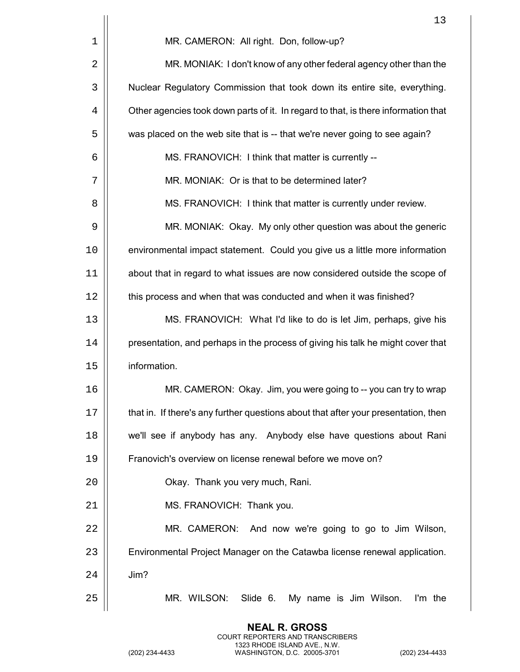|    | 13                                                                                 |
|----|------------------------------------------------------------------------------------|
| 1  | MR. CAMERON: All right. Don, follow-up?                                            |
| 2  | MR. MONIAK: I don't know of any other federal agency other than the                |
| 3  | Nuclear Regulatory Commission that took down its entire site, everything.          |
| 4  | Other agencies took down parts of it. In regard to that, is there information that |
| 5  | was placed on the web site that is -- that we're never going to see again?         |
| 6  | MS. FRANOVICH: I think that matter is currently --                                 |
| 7  | MR. MONIAK: Or is that to be determined later?                                     |
| 8  | MS. FRANOVICH: I think that matter is currently under review.                      |
| 9  | MR. MONIAK: Okay. My only other question was about the generic                     |
| 10 | environmental impact statement. Could you give us a little more information        |
| 11 | about that in regard to what issues are now considered outside the scope of        |
| 12 | this process and when that was conducted and when it was finished?                 |
| 13 | MS. FRANOVICH: What I'd like to do is let Jim, perhaps, give his                   |
| 14 | presentation, and perhaps in the process of giving his talk he might cover that    |
| 15 | information.                                                                       |
| 16 | MR. CAMERON: Okay. Jim, you were going to -- you can try to wrap                   |
| 17 | that in. If there's any further questions about that after your presentation, then |
| 18 | we'll see if anybody has any. Anybody else have questions about Rani               |
| 19 | Franovich's overview on license renewal before we move on?                         |
| 20 | Okay. Thank you very much, Rani.                                                   |
| 21 | MS. FRANOVICH: Thank you.                                                          |
| 22 | MR. CAMERON: And now we're going to go to Jim Wilson,                              |
| 23 | Environmental Project Manager on the Catawba license renewal application.          |
| 24 | Jim?                                                                               |
| 25 | MR. WILSON:<br>Slide 6.<br>My name is Jim Wilson.<br>I'm the                       |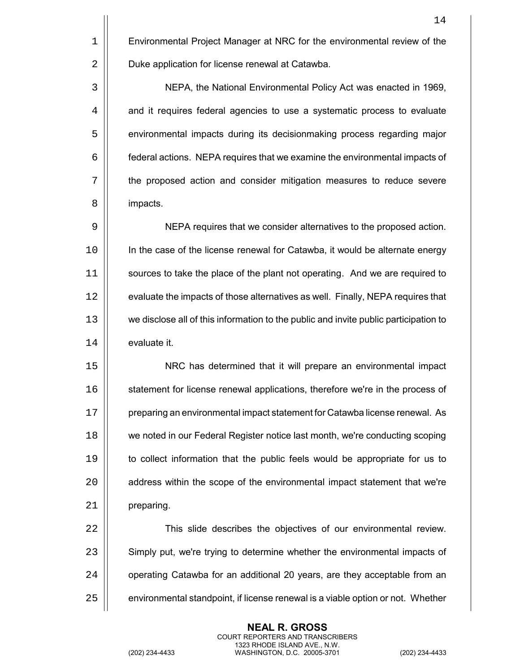1 | Environmental Project Manager at NRC for the environmental review of the 2 | Duke application for license renewal at Catawba.

3 NEPA, the National Environmental Policy Act was enacted in 1969, 4 | and it requires federal agencies to use a systematic process to evaluate 5 | environmental impacts during its decisionmaking process regarding major 6 federal actions. NEPA requires that we examine the environmental impacts of 7 the proposed action and consider mitigation measures to reduce severe 8 | impacts.

 NEPA requires that we consider alternatives to the proposed action. In the case of the license renewal for Catawba, it would be alternate energy sources to take the place of the plant not operating. And we are required to 12 | evaluate the impacts of those alternatives as well. Finally, NEPA requires that we disclose all of this information to the public and invite public participation to 14 | evaluate it.

15 NRC has determined that it will prepare an environmental impact 16 | statement for license renewal applications, therefore we're in the process of 17 | preparing an environmental impact statement for Catawba license renewal. As 18 we noted in our Federal Register notice last month, we're conducting scoping 19 to collect information that the public feels would be appropriate for us to 20 | address within the scope of the environmental impact statement that we're 21 | preparing.

22 | This slide describes the objectives of our environmental review. 23 | Simply put, we're trying to determine whether the environmental impacts of 24 | operating Catawba for an additional 20 years, are they acceptable from an  $25$   $\parallel$  environmental standpoint, if license renewal is a viable option or not. Whether

> **NEAL R. GROSS** COURT REPORTERS AND TRANSCRIBERS 1323 RHODE ISLAND AVE., N.W.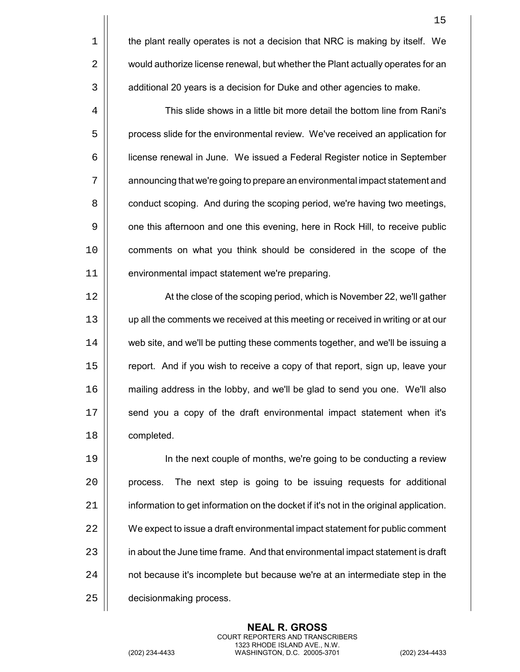4 | This slide shows in a little bit more detail the bottom line from Rani's 5 | process slide for the environmental review. We've received an application for license renewal in June. We issued a Federal Register notice in September announcing that we're going to prepare an environmental impact statement and **conduct scoping.** And during the scoping period, we're having two meetings, 9 | one this afternoon and one this evening, here in Rock Hill, to receive public comments on what you think should be considered in the scope of the environmental impact statement we're preparing.

12 | At the close of the scoping period, which is November 22, we'll gather 13 up all the comments we received at this meeting or received in writing or at our 14 | web site, and we'll be putting these comments together, and we'll be issuing a 15 | report. And if you wish to receive a copy of that report, sign up, leave your 16 mailing address in the lobby, and we'll be glad to send you one. We'll also 17 | send you a copy of the draft environmental impact statement when it's 18 | completed.

19 In the next couple of months, we're going to be conducting a review  $20$  | process. The next step is going to be issuing requests for additional  $21$  | information to get information on the docket if it's not in the original application. 22  $\vert$  We expect to issue a draft environmental impact statement for public comment 23 | in about the June time frame. And that environmental impact statement is draft 24 | not because it's incomplete but because we're at an intermediate step in the 25 | decisionmaking process.

> **NEAL R. GROSS** COURT REPORTERS AND TRANSCRIBERS 1323 RHODE ISLAND AVE., N.W.

15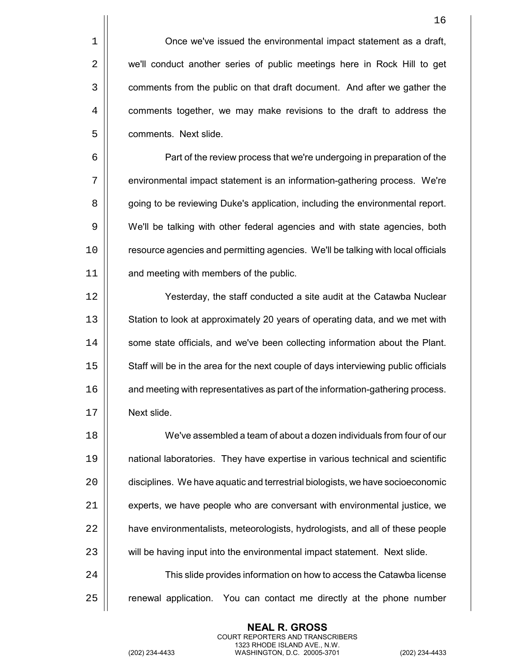1 | Once we've issued the environmental impact statement as a draft, 2 | we'll conduct another series of public meetings here in Rock Hill to get 3  $\vert$  comments from the public on that draft document. And after we gather the 4 **comments together, we may make revisions to the draft to address the** 5 | comments. Next slide.

6 Part of the review process that we're undergoing in preparation of the 7 | environmental impact statement is an information-gathering process. We're 8 **g** going to be reviewing Duke's application, including the environmental report. 9 We'll be talking with other federal agencies and with state agencies, both 10 | resource agencies and permitting agencies. We'll be talking with local officials 11 | and meeting with members of the public.

12 Yesterday, the staff conducted a site audit at the Catawba Nuclear 13 | Station to look at approximately 20 years of operating data, and we met with 14 | some state officials, and we've been collecting information about the Plant. 15 | Staff will be in the area for the next couple of days interviewing public officials 16 | and meeting with representatives as part of the information-gathering process. 17 Next slide.

 We've assembled a team of about a dozen individuals from four of our national laboratories. They have expertise in various technical and scientific disciplines. We have aquatic and terrestrial biologists, we have socioeconomic  $\parallel$  experts, we have people who are conversant with environmental justice, we **e** have environmentalists, meteorologists, hydrologists, and all of these people 23 | will be having input into the environmental impact statement. Next slide. 24 | Catawba Iicense information on how to access the Catawba license

 $25$   $\parallel$  renewal application. You can contact me directly at the phone number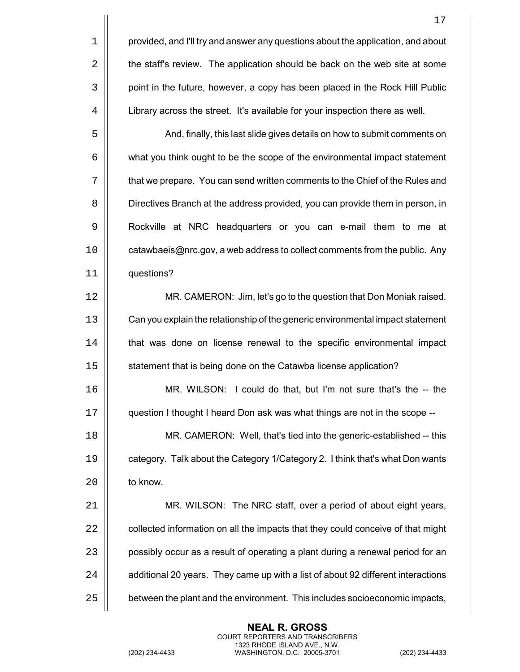|    | 17                                                                               |
|----|----------------------------------------------------------------------------------|
| 1  | provided, and I'll try and answer any questions about the application, and about |
| 2  | the staff's review. The application should be back on the web site at some       |
| 3  | point in the future, however, a copy has been placed in the Rock Hill Public     |
| 4  | Library across the street. It's available for your inspection there as well.     |
| 5  | And, finally, this last slide gives details on how to submit comments on         |
| 6  | what you think ought to be the scope of the environmental impact statement       |
| 7  | that we prepare. You can send written comments to the Chief of the Rules and     |
| 8  | Directives Branch at the address provided, you can provide them in person, in    |
| 9  | Rockville at NRC headquarters or you can e-mail them to me at                    |
| 10 | catawbaeis@nrc.gov, a web address to collect comments from the public. Any       |
| 11 | questions?                                                                       |
| 12 | MR. CAMERON: Jim, let's go to the question that Don Moniak raised.               |
| 13 | Can you explain the relationship of the generic environmental impact statement   |
| 14 | that was done on license renewal to the specific environmental impact            |
| 15 | statement that is being done on the Catawba license application?                 |
| 16 | MR. WILSON: I could do that, but I'm not sure that's the -- the                  |
| 17 | question I thought I heard Don ask was what things are not in the scope --       |
| 18 | MR. CAMERON: Well, that's tied into the generic-established -- this              |
| 19 | category. Talk about the Category 1/Category 2. I think that's what Don wants    |
| 20 | to know.                                                                         |
| 21 | MR. WILSON: The NRC staff, over a period of about eight years,                   |
| 22 | collected information on all the impacts that they could conceive of that might  |
| 23 | possibly occur as a result of operating a plant during a renewal period for an   |
| 24 | additional 20 years. They came up with a list of about 92 different interactions |
| 25 | between the plant and the environment. This includes socioeconomic impacts,      |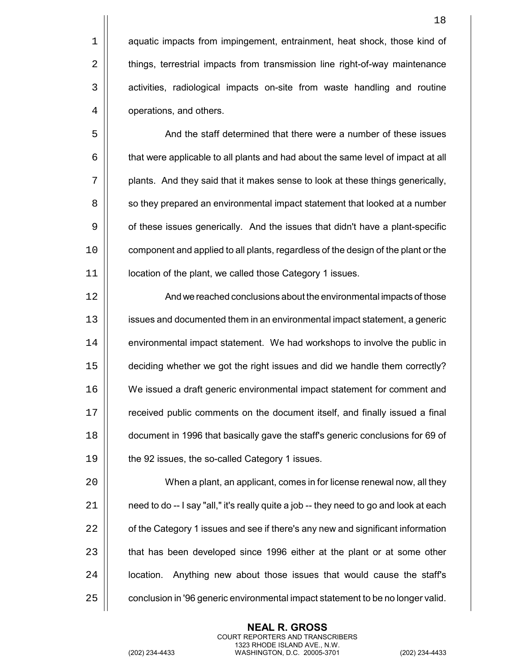5 And the staff determined that there were a number of these issues  $6 \mid$  that were applicable to all plants and had about the same level of impact at all  $7$   $\parallel$  plants. And they said that it makes sense to look at these things generically, 8  $\vert\vert$  so they prepared an environmental impact statement that looked at a number 9 | of these issues generically. And the issues that didn't have a plant-specific 10 | component and applied to all plants, regardless of the design of the plant or the 11 | location of the plant, we called those Category 1 issues.

 And we reached conclusions about the environmental impacts of those issues and documented them in an environmental impact statement, a generic 14 | environmental impact statement. We had workshops to involve the public in deciding whether we got the right issues and did we handle them correctly? We issued a draft generic environmental impact statement for comment and 17 | received public comments on the document itself, and finally issued a final document in 1996 that basically gave the staff's generic conclusions for 69 of **the 92 issues, the so-called Category 1 issues.** 

 When a plant, an applicant, comes in for license renewal now, all they | eed to do -- I say "all," it's really quite a job -- they need to go and look at each  $\parallel$  of the Category 1 issues and see if there's any new and significant information 23 | that has been developed since 1996 either at the plant or at some other |  $\pm$  location. Anything new about those issues that would cause the staff's  $\vert$  conclusion in '96 generic environmental impact statement to be no longer valid.

> **NEAL R. GROSS** COURT REPORTERS AND TRANSCRIBERS 1323 RHODE ISLAND AVE., N.W.

18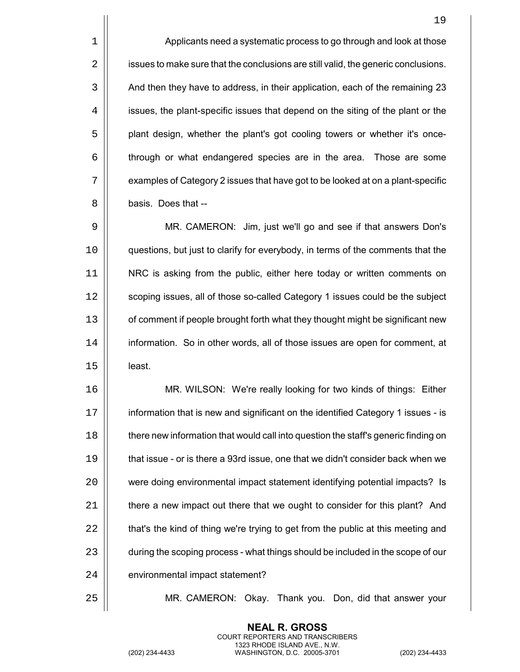1 | Applicants need a systematic process to go through and look at those  $2 \parallel$  issues to make sure that the conclusions are still valid, the generic conclusions. 3 | And then they have to address, in their application, each of the remaining 23 4 | issues, the plant-specific issues that depend on the siting of the plant or the 5 | plant design, whether the plant's got cooling towers or whether it's once-6 through or what endangered species are in the area. Those are some  $7 \parallel$  examples of Category 2 issues that have got to be looked at on a plant-specific 8 | basis. Does that --

9 MR. CAMERON: Jim, just we'll go and see if that answers Don's 10 questions, but just to clarify for everybody, in terms of the comments that the 11 NRC is asking from the public, either here today or written comments on 12 | scoping issues, all of those so-called Category 1 issues could be the subject 13 | of comment if people brought forth what they thought might be significant new 14 | information. So in other words, all of those issues are open for comment, at  $15$  least.

 MR. WILSON: We're really looking for two kinds of things: Either 17 | information that is new and significant on the identified Category 1 issues - is  $\parallel$  there new information that would call into question the staff's generic finding on **that issue - or is there a 93rd issue, one that we didn't consider back when we**  were doing environmental impact statement identifying potential impacts? Is  $\parallel$  there a new impact out there that we ought to consider for this plant? And  $\parallel$  that's the kind of thing we're trying to get from the public at this meeting and  $\vert$  during the scoping process - what things should be included in the scope of our 24 | environmental impact statement?

25 MR. CAMERON: Okay. Thank you. Don, did that answer your

**NEAL R. GROSS** COURT REPORTERS AND TRANSCRIBERS 1323 RHODE ISLAND AVE., N.W.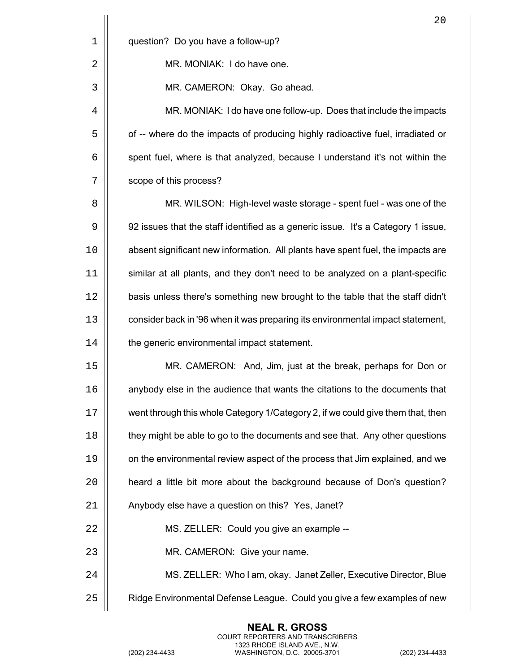|             | 20                                                                               |
|-------------|----------------------------------------------------------------------------------|
| $\mathbf 1$ | question? Do you have a follow-up?                                               |
| 2           | MR. MONIAK: I do have one.                                                       |
| 3           | MR. CAMERON: Okay. Go ahead.                                                     |
| 4           | MR. MONIAK: I do have one follow-up. Does that include the impacts               |
| 5           | of -- where do the impacts of producing highly radioactive fuel, irradiated or   |
| 6           | spent fuel, where is that analyzed, because I understand it's not within the     |
| 7           | scope of this process?                                                           |
| 8           | MR. WILSON: High-level waste storage - spent fuel - was one of the               |
| 9           | 92 issues that the staff identified as a generic issue. It's a Category 1 issue, |
| 10          | absent significant new information. All plants have spent fuel, the impacts are  |
| 11          | similar at all plants, and they don't need to be analyzed on a plant-specific    |
| 12          | basis unless there's something new brought to the table that the staff didn't    |
| 13          | consider back in '96 when it was preparing its environmental impact statement,   |
| 14          | the generic environmental impact statement.                                      |
| 15          | MR. CAMERON: And, Jim, just at the break, perhaps for Don or                     |
| 16          | anybody else in the audience that wants the citations to the documents that      |
| 17          | went through this whole Category 1/Category 2, if we could give them that, then  |
| 18          | they might be able to go to the documents and see that. Any other questions      |
| 19          | on the environmental review aspect of the process that Jim explained, and we     |
| 20          | heard a little bit more about the background because of Don's question?          |
| 21          | Anybody else have a question on this? Yes, Janet?                                |
| 22          | MS. ZELLER: Could you give an example --                                         |
| 23          | MR. CAMERON: Give your name.                                                     |
| 24          | MS. ZELLER: Who I am, okay. Janet Zeller, Executive Director, Blue               |
| 25          | Ridge Environmental Defense League. Could you give a few examples of new         |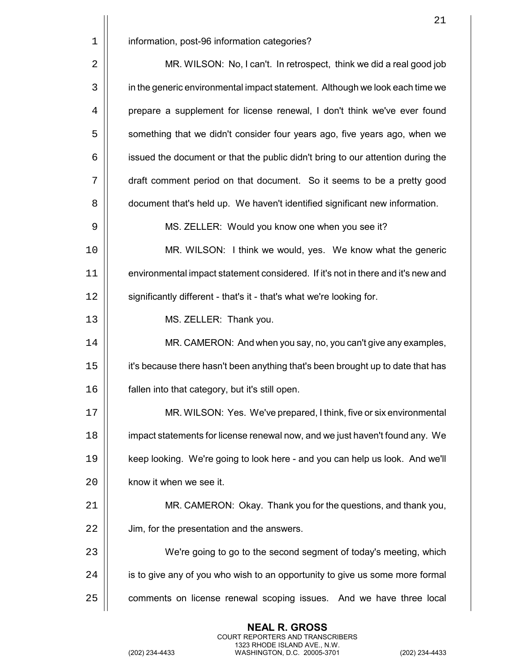|    | 21                                                                               |
|----|----------------------------------------------------------------------------------|
| 1  | information, post-96 information categories?                                     |
| 2  | MR. WILSON: No, I can't. In retrospect, think we did a real good job             |
| 3  | in the generic environmental impact statement. Although we look each time we     |
| 4  | prepare a supplement for license renewal, I don't think we've ever found         |
| 5  | something that we didn't consider four years ago, five years ago, when we        |
| 6  | issued the document or that the public didn't bring to our attention during the  |
| 7  | draft comment period on that document. So it seems to be a pretty good           |
| 8  | document that's held up. We haven't identified significant new information.      |
| 9  | MS. ZELLER: Would you know one when you see it?                                  |
| 10 | MR. WILSON: I think we would, yes. We know what the generic                      |
| 11 | environmental impact statement considered. If it's not in there and it's new and |
| 12 | significantly different - that's it - that's what we're looking for.             |
| 13 | MS. ZELLER: Thank you.                                                           |
| 14 | MR. CAMERON: And when you say, no, you can't give any examples,                  |
| 15 | it's because there hasn't been anything that's been brought up to date that has  |
| 16 | fallen into that category, but it's still open.                                  |
| 17 | MR. WILSON: Yes. We've prepared, I think, five or six environmental              |
| 18 | impact statements for license renewal now, and we just haven't found any. We     |
| 19 | keep looking. We're going to look here - and you can help us look. And we'll     |
| 20 | know it when we see it.                                                          |
| 21 | MR. CAMERON: Okay. Thank you for the questions, and thank you,                   |
| 22 | Jim, for the presentation and the answers.                                       |
| 23 | We're going to go to the second segment of today's meeting, which                |
| 24 | is to give any of you who wish to an opportunity to give us some more formal     |
| 25 | comments on license renewal scoping issues. And we have three local              |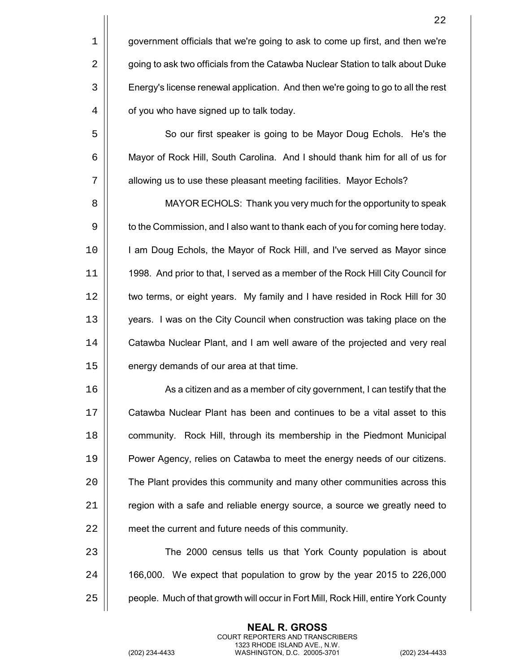5  $\parallel$  So our first speaker is going to be Mayor Doug Echols. He's the 6 | Mayor of Rock Hill, South Carolina. And I should thank him for all of us for 7 | allowing us to use these pleasant meeting facilities. Mayor Echols?

8 | MAYOR ECHOLS: Thank you very much for the opportunity to speak 9  $\vert\vert$  to the Commission, and I also want to thank each of you for coming here today. 10 | I am Doug Echols, the Mayor of Rock Hill, and I've served as Mayor since 11 1998. And prior to that, I served as a member of the Rock Hill City Council for 12 | two terms, or eight years. My family and I have resided in Rock Hill for 30 13 | vears. I was on the City Council when construction was taking place on the 14 | Catawba Nuclear Plant, and I am well aware of the projected and very real 15 | energy demands of our area at that time.

16 | As a citizen and as a member of city government, I can testify that the Catawba Nuclear Plant has been and continues to be a vital asset to this **community.** Rock Hill, through its membership in the Piedmont Municipal Power Agency, relies on Catawba to meet the energy needs of our citizens. **The Plant provides this community and many other communities across this**   $\parallel$  region with a safe and reliable energy source, a source we greatly need to 22 | meet the current and future needs of this community.

23 | The 2000 census tells us that York County population is about  $24$  | 166,000. We expect that population to grow by the year 2015 to 226,000 25 | people. Much of that growth will occur in Fort Mill, Rock Hill, entire York County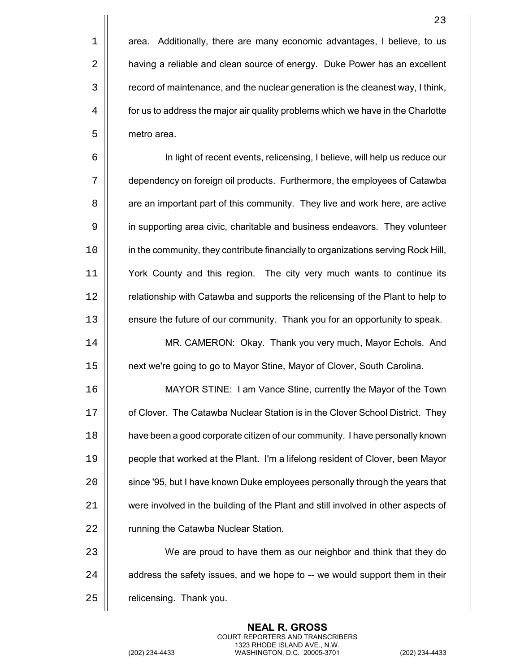$1$  | area. Additionally, there are many economic advantages, I believe, to us 2 | having a reliable and clean source of energy. Duke Power has an excellent 3 | record of maintenance, and the nuclear generation is the cleanest way, I think,  $4 \mid \mid$  for us to address the major air quality problems which we have in the Charlotte 5 | metro area.

6 In light of recent events, relicensing, I believe, will help us reduce our 7 dependency on foreign oil products. Furthermore, the employees of Catawba 8 | are an important part of this community. They live and work here, are active 9 | in supporting area civic, charitable and business endeavors. They volunteer 10 | in the community, they contribute financially to organizations serving Rock Hill, 11 York County and this region. The city very much wants to continue its 12 | relationship with Catawba and supports the relicensing of the Plant to help to 13 | ensure the future of our community. Thank you for an opportunity to speak.

14 MR. CAMERON: Okay. Thank you very much, Mayor Echols. And 15 next we're going to go to Mayor Stine, Mayor of Clover, South Carolina.

16 MAYOR STINE: I am Vance Stine, currently the Mayor of the Town 17 | of Clover. The Catawba Nuclear Station is in the Clover School District. They 18 have been a good corporate citizen of our community. I have personally known 19 people that worked at the Plant. I'm a lifelong resident of Clover, been Mayor 20 | since '95, but I have known Duke employees personally through the years that 21 were involved in the building of the Plant and still involved in other aspects of 22 | running the Catawba Nuclear Station.

23 | We are proud to have them as our neighbor and think that they do  $24$   $\parallel$  address the safety issues, and we hope to  $-$  we would support them in their 25 | relicensing. Thank you.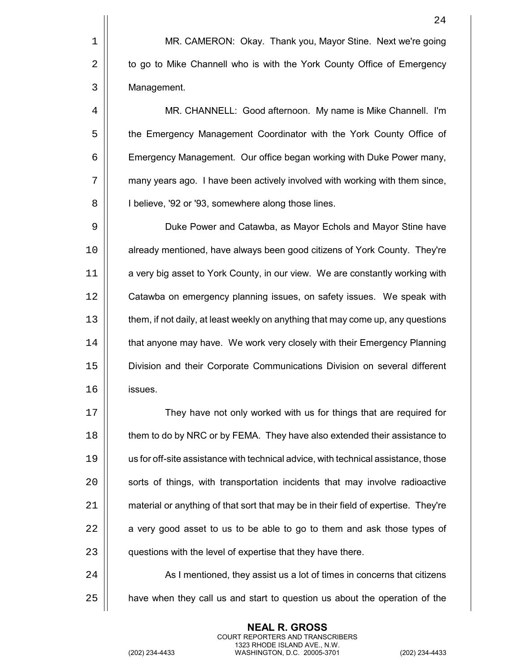1 | MR. CAMERON: Okay. Thank you, Mayor Stine. Next we're going 2 | to go to Mike Channell who is with the York County Office of Emergency 3 | Management.

4 MR. CHANNELL: Good afternoon. My name is Mike Channell. I'm 5 | the Emergency Management Coordinator with the York County Office of 6 | Emergency Management. Our office began working with Duke Power many, 7 | many years ago. I have been actively involved with working with them since, 8 | | l believe, '92 or '93, somewhere along those lines.

9 | Duke Power and Catawba, as Mayor Echols and Mayor Stine have 10 | already mentioned, have always been good citizens of York County. They're 11 | a very big asset to York County, in our view. We are constantly working with 12 | Catawba on emergency planning issues, on safety issues. We speak with 13  $\parallel$  them, if not daily, at least weekly on anything that may come up, any questions 14 | that anyone may have. We work very closely with their Emergency Planning 15 Division and their Corporate Communications Division on several different 16 issues.

 $\vert$  They have not only worked with us for things that are required for **them to do by NRC or by FEMA.** They have also extended their assistance to us for off-site assistance with technical advice, with technical assistance, those  $\vert$  sorts of things, with transportation incidents that may involve radioactive 21 | material or anything of that sort that may be in their field of expertise. They're  $\parallel$  a very good asset to us to be able to go to them and ask those types of 23 | questions with the level of expertise that they have there.

24 | As I mentioned, they assist us a lot of times in concerns that citizens  $25$   $\parallel$  have when they call us and start to question us about the operation of the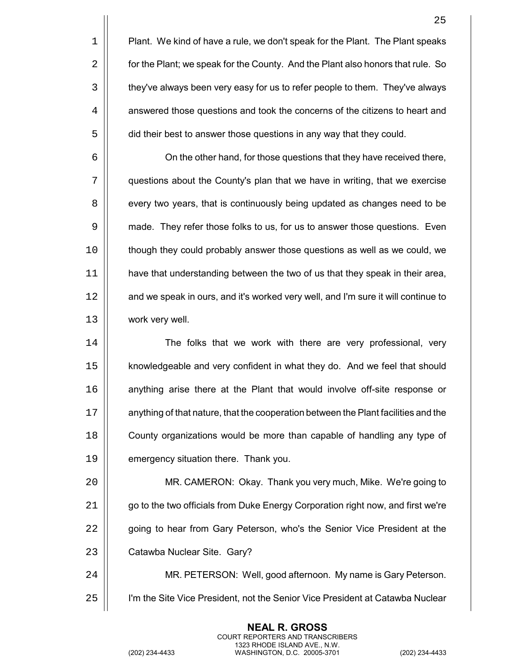|                | 25                                                                                 |
|----------------|------------------------------------------------------------------------------------|
| $\mathbf 1$    | Plant. We kind of have a rule, we don't speak for the Plant. The Plant speaks      |
| $\overline{2}$ | for the Plant; we speak for the County. And the Plant also honors that rule. So    |
| 3              | they've always been very easy for us to refer people to them. They've always       |
| 4              | answered those questions and took the concerns of the citizens to heart and        |
| 5              | did their best to answer those questions in any way that they could.               |
| 6              | On the other hand, for those questions that they have received there,              |
| 7              | questions about the County's plan that we have in writing, that we exercise        |
| 8              | every two years, that is continuously being updated as changes need to be          |
| 9              | made. They refer those folks to us, for us to answer those questions. Even         |
| 10             | though they could probably answer those questions as well as we could, we          |
| 11             | have that understanding between the two of us that they speak in their area,       |
| 12             | and we speak in ours, and it's worked very well, and I'm sure it will continue to  |
| 13             | work very well.                                                                    |
| 14             | The folks that we work with there are very professional, very                      |
| 15             | knowledgeable and very confident in what they do. And we feel that should          |
| 16             | anything arise there at the Plant that would involve off-site response or          |
| 17             | anything of that nature, that the cooperation between the Plant facilities and the |
| 18             | County organizations would be more than capable of handling any type of            |
| 19             | emergency situation there. Thank you.                                              |
| 20             | MR. CAMERON: Okay. Thank you very much, Mike. We're going to                       |
| 21             | go to the two officials from Duke Energy Corporation right now, and first we're    |
| 22             | going to hear from Gary Peterson, who's the Senior Vice President at the           |
| 23             | Catawba Nuclear Site. Gary?                                                        |
| 24             | MR. PETERSON: Well, good afternoon. My name is Gary Peterson.                      |
|                | I'm the Site Vice President, not the Senior Vice President at Catawba Nuclear      |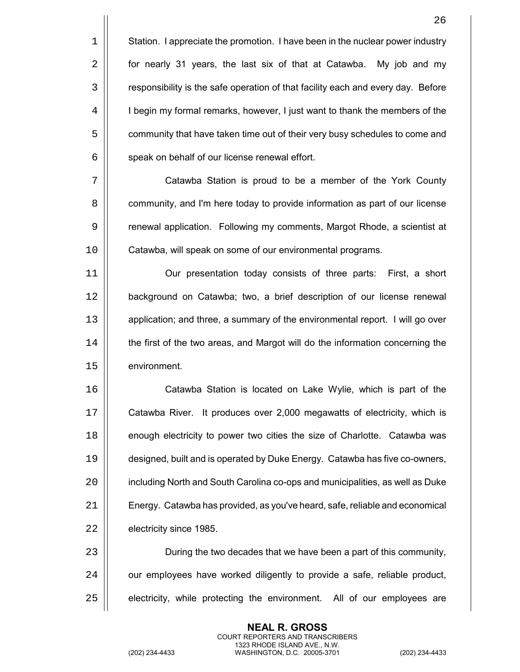| Station. I appreciate the promotion. I have been in the nuclear power industry  $2 \parallel$  for nearly 31 years, the last six of that at Catawba. My job and my  $\vert$  responsibility is the safe operation of that facility each and every day. Before 4 | I begin my formal remarks, however, I just want to thank the members of the  $\vert$  community that have taken time out of their very busy schedules to come and  $\vert$  speak on behalf of our license renewal effort.

7 | Catawba Station is proud to be a member of the York County 8 | community, and I'm here today to provide information as part of our license 9 | renewal application. Following my comments, Margot Rhode, a scientist at 10 | Catawba, will speak on some of our environmental programs.

11 Our presentation today consists of three parts: First, a short 12 background on Catawba; two, a brief description of our license renewal 13 | application; and three, a summary of the environmental report. I will go over 14 **the first of the two areas, and Margot will do the information concerning the** 15 | environment.

 Catawba Station is located on Lake Wylie, which is part of the Catawba River. It produces over 2,000 megawatts of electricity, which is **enough electricity to power two cities the size of Charlotte. Catawba was**  designed, built and is operated by Duke Energy. Catawba has five co-owners, 20 | including North and South Carolina co-ops and municipalities, as well as Duke Energy. Catawba has provided, as you've heard, safe, reliable and economical **electricity since 1985**.

23 | During the two decades that we have been a part of this community,  $24$   $\vert\vert$  our employees have worked diligently to provide a safe, reliable product,  $25$   $\vert$  electricity, while protecting the environment. All of our employees are

> **NEAL R. GROSS** COURT REPORTERS AND TRANSCRIBERS 1323 RHODE ISLAND AVE., N.W.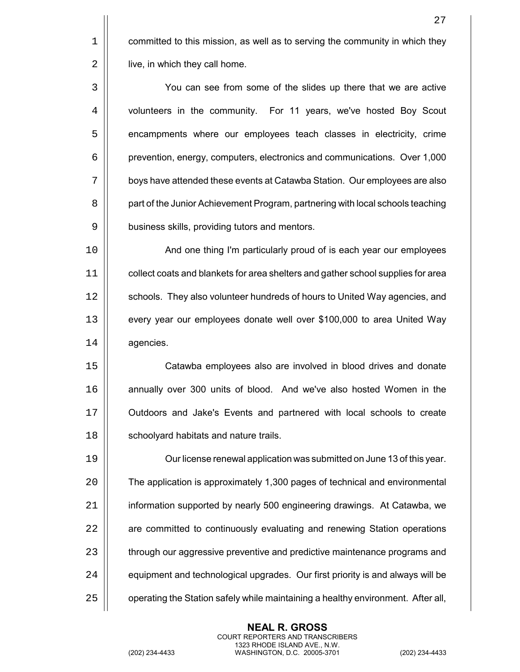$1$  | committed to this mission, as well as to serving the community in which they 2 | live, in which they call home.

3 You can see from some of the slides up there that we are active 4 volunteers in the community. For 11 years, we've hosted Boy Scout 5  $\vert$  encampments where our employees teach classes in electricity, crime 6 prevention, energy, computers, electronics and communications. Over 1,000 7 | boys have attended these events at Catawba Station. Our employees are also 8 | part of the Junior Achievement Program, partnering with local schools teaching 9 | business skills, providing tutors and mentors.

10 || **And one thing I'm particularly proud of is each year our employees** 11 collect coats and blankets for area shelters and gather school supplies for area 12 | schools. They also volunteer hundreds of hours to United Way agencies, and 13 | every year our employees donate well over \$100,000 to area United Way 14 | agencies.

 Catawba employees also are involved in blood drives and donate **annually over 300 units of blood.** And we've also hosted Women in the Outdoors and Jake's Events and partnered with local schools to create 18 | schoolyard habitats and nature trails.

19 Our license renewal application was submitted on June 13 of this year. 20 The application is approximately 1,300 pages of technical and environmental 21 | information supported by nearly 500 engineering drawings. At Catawba, we 22 | are committed to continuously evaluating and renewing Station operations 23 | through our aggressive preventive and predictive maintenance programs and  $24$   $\parallel$  equipment and technological upgrades. Our first priority is and always will be  $25$   $\parallel$  operating the Station safely while maintaining a healthy environment. After all,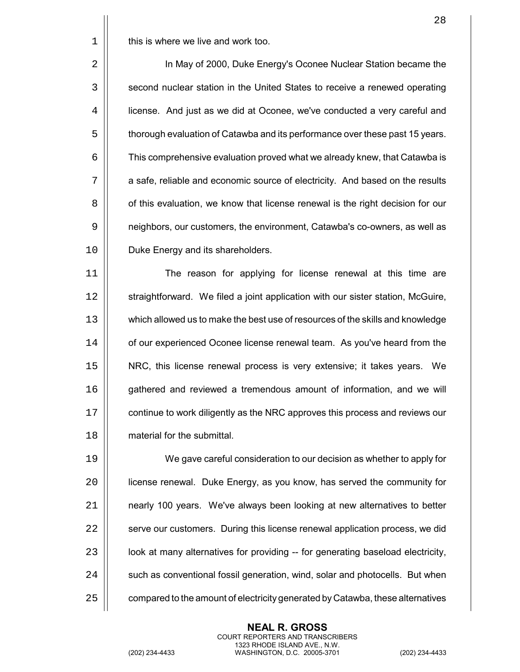$1 \parallel$  this is where we live and work too.

2 In May of 2000, Duke Energy's Oconee Nuclear Station became the 3 | second nuclear station in the United States to receive a renewed operating 4 | icense. And just as we did at Oconee, we've conducted a very careful and 5  $\vert$  thorough evaluation of Catawba and its performance over these past 15 years.  $6 \mid$  This comprehensive evaluation proved what we already knew, that Catawba is 7 | a safe, reliable and economic source of electricity. And based on the results 8 | of this evaluation, we know that license renewal is the right decision for our 9  $\vert$  neighbors, our customers, the environment, Catawba's co-owners, as well as 10 | Duke Energy and its shareholders.

 The reason for applying for license renewal at this time are 12 | straightforward. We filed a joint application with our sister station, McGuire, which allowed us to make the best use of resources of the skills and knowledge 14 | of our experienced Oconee license renewal team. As you've heard from the NRC, this license renewal process is very extensive; it takes years. We **gathered and reviewed a tremendous amount of information, and we will**  $\vert\vert$  continue to work diligently as the NRC approves this process and reviews our material for the submittal.

 We gave careful consideration to our decision as whether to apply for license renewal. Duke Energy, as you know, has served the community for **1** nearly 100 years. We've always been looking at new alternatives to better  $\parallel$  serve our customers. During this license renewal application process, we did  $\vert$  look at many alternatives for providing  $-$  for generating baseload electricity,  $\parallel$  such as conventional fossil generation, wind, solar and photocells. But when  $\vert$  compared to the amount of electricity generated by Catawba, these alternatives

> **NEAL R. GROSS** COURT REPORTERS AND TRANSCRIBERS 1323 RHODE ISLAND AVE., N.W.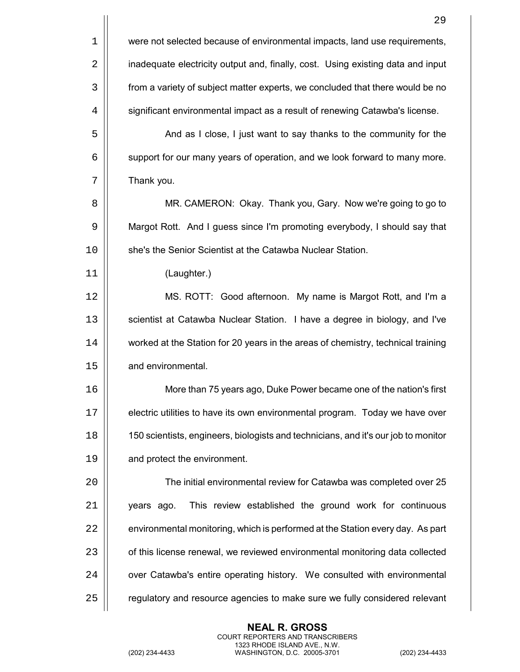|    | 29                                                                                 |
|----|------------------------------------------------------------------------------------|
| 1  | were not selected because of environmental impacts, land use requirements,         |
| 2  | inadequate electricity output and, finally, cost. Using existing data and input    |
| 3  | from a variety of subject matter experts, we concluded that there would be no      |
| 4  | significant environmental impact as a result of renewing Catawba's license.        |
| 5  | And as I close, I just want to say thanks to the community for the                 |
| 6  | support for our many years of operation, and we look forward to many more.         |
| 7  | Thank you.                                                                         |
| 8  | MR. CAMERON: Okay. Thank you, Gary. Now we're going to go to                       |
| 9  | Margot Rott. And I guess since I'm promoting everybody, I should say that          |
| 10 | she's the Senior Scientist at the Catawba Nuclear Station.                         |
| 11 | (Laughter.)                                                                        |
| 12 | MS. ROTT: Good afternoon. My name is Margot Rott, and I'm a                        |
| 13 | scientist at Catawba Nuclear Station. I have a degree in biology, and I've         |
| 14 | worked at the Station for 20 years in the areas of chemistry, technical training   |
| 15 | and environmental.                                                                 |
| 16 | More than 75 years ago, Duke Power became one of the nation's first                |
| 17 | electric utilities to have its own environmental program. Today we have over       |
| 18 | 150 scientists, engineers, biologists and technicians, and it's our job to monitor |
| 19 | and protect the environment.                                                       |
| 20 | The initial environmental review for Catawba was completed over 25                 |
| 21 | This review established the ground work for continuous<br>years ago.               |
| 22 | environmental monitoring, which is performed at the Station every day. As part     |
| 23 | of this license renewal, we reviewed environmental monitoring data collected       |
| 24 | over Catawba's entire operating history. We consulted with environmental           |
| 25 | regulatory and resource agencies to make sure we fully considered relevant         |
|    |                                                                                    |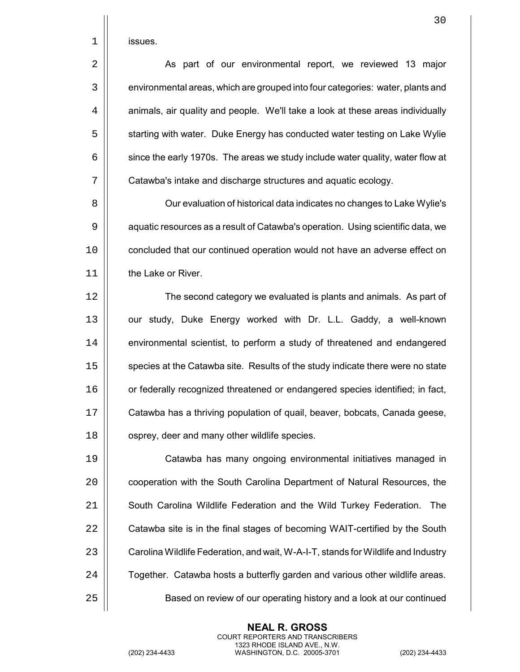|  | ISSUES. |
|--|---------|
|--|---------|

2 | As part of our environmental report, we reviewed 13 major 3 | environmental areas, which are grouped into four categories: water, plants and  $4 \mid$  animals, air quality and people. We'll take a look at these areas individually 5  $\vert\vert$  starting with water. Duke Energy has conducted water testing on Lake Wylie  $6 \mid$  since the early 1970s. The areas we study include water quality, water flow at 7 | Catawba's intake and discharge structures and aquatic ecology.

8 | Our evaluation of historical data indicates no changes to Lake Wylie's 9  $\vert\vert$  aquatic resources as a result of Catawba's operation. Using scientific data, we 10 | concluded that our continued operation would not have an adverse effect on 11 I the Lake or River.

12 | The second category we evaluated is plants and animals. As part of 13 | our study, Duke Energy worked with Dr. L.L. Gaddy, a well-known 14 | environmental scientist, to perform a study of threatened and endangered 15 | species at the Catawba site. Results of the study indicate there were no state 16 | or federally recognized threatened or endangered species identified; in fact, 17 | Catawba has a thriving population of quail, beaver, bobcats, Canada geese, 18 | osprey, deer and many other wildlife species.

19 Catawba has many ongoing environmental initiatives managed in 20 **cooperation with the South Carolina Department of Natural Resources**, the 21 | South Carolina Wildlife Federation and the Wild Turkey Federation. The 22 | Catawba site is in the final stages of becoming WAIT-certified by the South 23 | Carolina Wildlife Federation, and wait, W-A-I-T, stands for Wildlife and Industry  $24$   $\parallel$  Together. Catawba hosts a butterfly garden and various other wildlife areas. 25 Based on review of our operating history and a look at our continued

> **NEAL R. GROSS** COURT REPORTERS AND TRANSCRIBERS 1323 RHODE ISLAND AVE., N.W.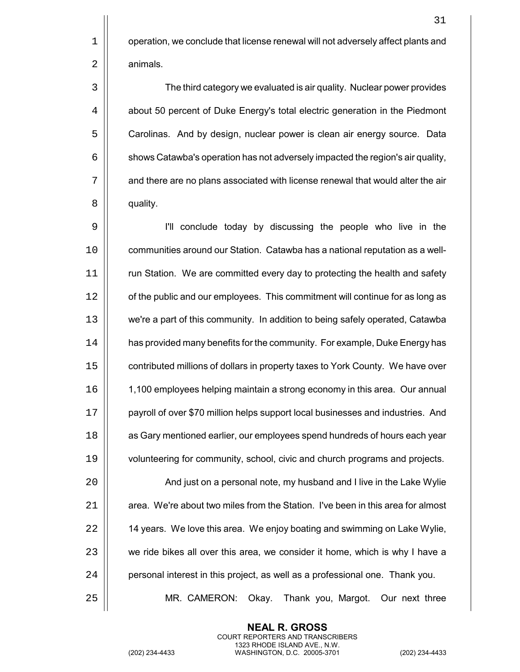31

 $1 \parallel$  operation, we conclude that license renewal will not adversely affect plants and 2 | animals.

3 The third category we evaluated is air quality. Nuclear power provides 4 | about 50 percent of Duke Energy's total electric generation in the Piedmont 5  $\vert$  Carolinas. And by design, nuclear power is clean air energy source. Data  $6 \mid \mid$  shows Catawba's operation has not adversely impacted the region's air quality, 7 | and there are no plans associated with license renewal that would alter the air 8 | quality.

 I'll conclude today by discussing the people who live in the 10 | communities around our Station. Catawba has a national reputation as a well-11 | run Station. We are committed every day to protecting the health and safety 12 | of the public and our employees. This commitment will continue for as long as we're a part of this community. In addition to being safely operated, Catawba 14 | has provided many benefits for the community. For example, Duke Energy has  $\vert\vert$  contributed millions of dollars in property taxes to York County. We have over 1,100 employees helping maintain a strong economy in this area. Our annual payroll of over \$70 million helps support local businesses and industries. And **a** Gary mentioned earlier, our employees spend hundreds of hours each year volunteering for community, school, civic and church programs and projects. 20 | And just on a personal note, my husband and I live in the Lake Wylie  $\parallel$  area. We're about two miles from the Station. I've been in this area for almost  $\parallel$  14 years. We love this area. We enjoy boating and swimming on Lake Wylie,

23 | we ride bikes all over this area, we consider it home, which is why I have a

 $24$  | personal interest in this project, as well as a professional one. Thank you.

25 MR. CAMERON: Okay. Thank you, Margot. Our next three

**NEAL R. GROSS** COURT REPORTERS AND TRANSCRIBERS 1323 RHODE ISLAND AVE., N.W.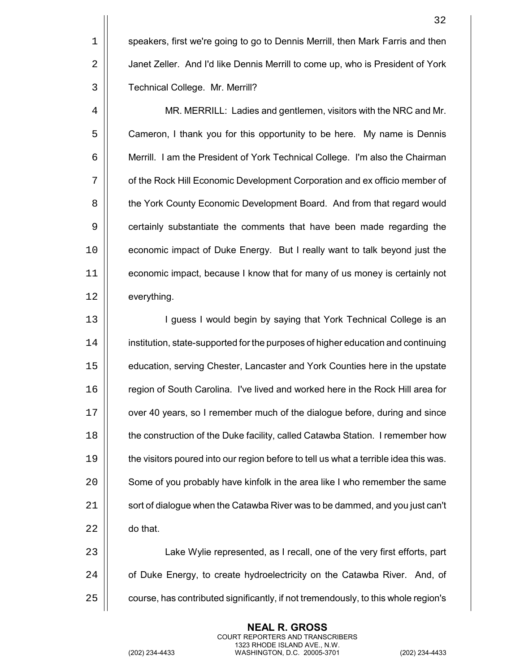1 | speakers, first we're going to go to Dennis Merrill, then Mark Farris and then 2 | Janet Zeller. And I'd like Dennis Merrill to come up, who is President of York 3 | Technical College. Mr. Merrill?

4 MR. MERRILL: Ladies and gentlemen, visitors with the NRC and Mr. 5  $\vert$  Cameron, I thank you for this opportunity to be here. My name is Dennis 6 | Merrill. I am the President of York Technical College. I'm also the Chairman 7  $\vert\vert$  of the Rock Hill Economic Development Corporation and ex officio member of 8 | the York County Economic Development Board. And from that regard would 9 | certainly substantiate the comments that have been made regarding the 10 economic impact of Duke Energy. But I really want to talk beyond just the 11 economic impact, because I know that for many of us money is certainly not 12 | everything.

13 || **I guess I would begin by saying that York Technical College is an** 14 institution, state-supported for the purposes of higher education and continuing 15 education, serving Chester, Lancaster and York Counties here in the upstate 16 | region of South Carolina. I've lived and worked here in the Rock Hill area for 17 | over 40 years, so I remember much of the dialogue before, during and since 18 **the construction of the Duke facility, called Catawba Station. I remember how** 19  $\parallel$  the visitors poured into our region before to tell us what a terrible idea this was. 20 | Some of you probably have kinfolk in the area like I who remember the same 21 | sort of dialogue when the Catawba River was to be dammed, and you just can't 22 **do that.** 

23 | Lake Wylie represented, as I recall, one of the very first efforts, part  $24$   $\parallel$  of Duke Energy, to create hydroelectricity on the Catawba River. And, of  $25$   $\parallel$  course, has contributed significantly, if not tremendously, to this whole region's

> **NEAL R. GROSS** COURT REPORTERS AND TRANSCRIBERS 1323 RHODE ISLAND AVE., N.W.

(202) 234-4433 WASHINGTON, D.C. 20005-3701 (202) 234-4433

32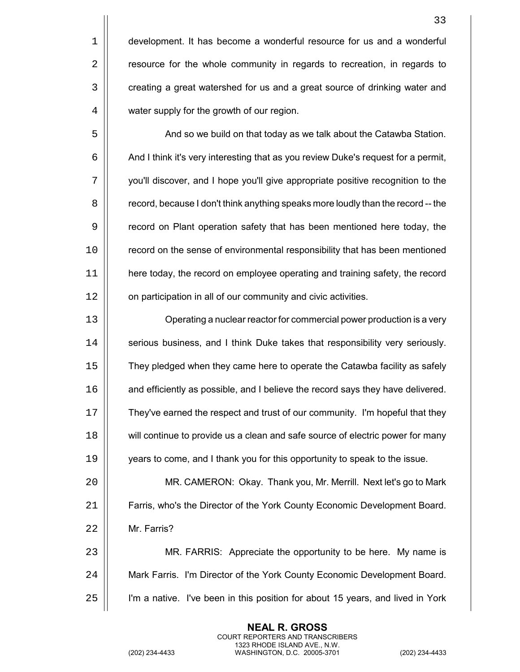5 | And so we build on that today as we talk about the Catawba Station.  $6 \mid$  And I think it's very interesting that as you review Duke's request for a permit, 7 you'll discover, and I hope you'll give appropriate positive recognition to the 8  $\vert$  record, because I don't think anything speaks more loudly than the record -- the 9 **Fig.** record on Plant operation safety that has been mentioned here today, the 10 | record on the sense of environmental responsibility that has been mentioned 11 here today, the record on employee operating and training safety, the record 12 | on participation in all of our community and civic activities.

 Operating a nuclear reactor for commercial power production is a very  $\parallel$  serious business, and I think Duke takes that responsibility very seriously. They pledged when they came here to operate the Catawba facility as safely **a** and efficiently as possible, and I believe the record says they have delivered. They've earned the respect and trust of our community. I'm hopeful that they  $\parallel$  will continue to provide us a clean and safe source of electric power for many years to come, and I thank you for this opportunity to speak to the issue.

20 MR. CAMERON: Okay. Thank you, Mr. Merrill. Next let's go to Mark 21 Farris, who's the Director of the York County Economic Development Board. 22 Mr. Farris?

23 MR. FARRIS: Appreciate the opportunity to be here. My name is 24 | Mark Farris. I'm Director of the York County Economic Development Board. 25 I'm a native. I've been in this position for about 15 years, and lived in York

> **NEAL R. GROSS** COURT REPORTERS AND TRANSCRIBERS 1323 RHODE ISLAND AVE., N.W.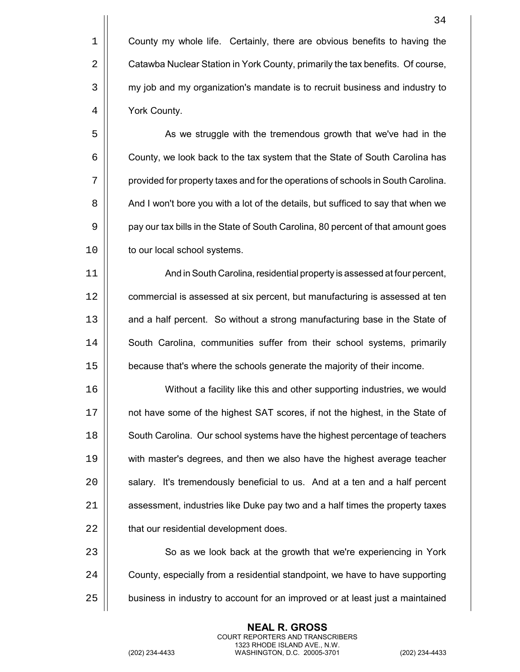5 | As we struggle with the tremendous growth that we've had in the  $6 \mid$  County, we look back to the tax system that the State of South Carolina has 7 | provided for property taxes and for the operations of schools in South Carolina. 8  $\vert$  And I won't bore you with a lot of the details, but sufficed to say that when we 9 | pay our tax bills in the State of South Carolina, 80 percent of that amount goes 10 | to our local school systems.

11 And in South Carolina, residential property is assessed at four percent, 12 | commercial is assessed at six percent, but manufacturing is assessed at ten 13 | and a half percent. So without a strong manufacturing base in the State of 14 | South Carolina, communities suffer from their school systems, primarily 15 because that's where the schools generate the majority of their income.

 Without a facility like this and other supporting industries, we would not have some of the highest SAT scores, if not the highest, in the State of 18 | South Carolina. Our school systems have the highest percentage of teachers with master's degrees, and then we also have the highest average teacher  $\parallel$  salary. It's tremendously beneficial to us. And at a ten and a half percent | assessment, industries like Duke pay two and a half times the property taxes 22 | that our residential development does.

23 | So as we look back at the growth that we're experiencing in York 24  $\vert$  County, especially from a residential standpoint, we have to have supporting 25 | business in industry to account for an improved or at least just a maintained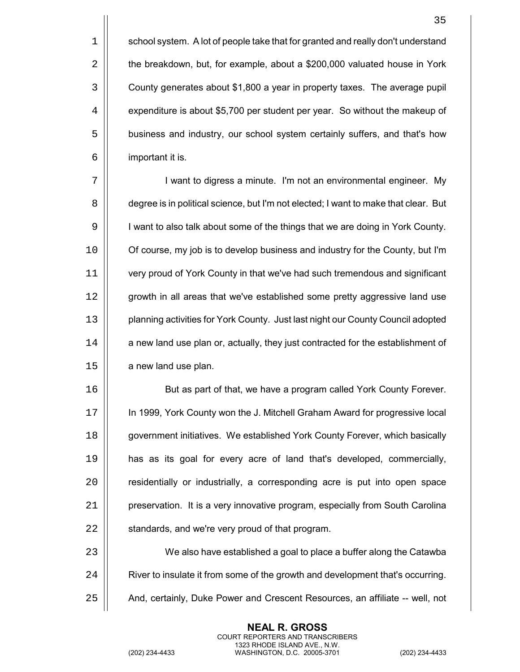$1 \parallel$  school system. A lot of people take that for granted and really don't understand 2 | the breakdown, but, for example, about a \$200,000 valuated house in York 3 | County generates about \$1,800 a year in property taxes. The average pupil 4  $\vert$  expenditure is about \$5,700 per student per year. So without the makeup of 5 | business and industry, our school system certainly suffers, and that's how 6 important it is.

7 | vant to digress a minute. I'm not an environmental engineer. My 8 | degree is in political science, but I'm not elected; I want to make that clear. But 9 | I want to also talk about some of the things that we are doing in York County. 10 | Of course, my job is to develop business and industry for the County, but I'm 11 very proud of York County in that we've had such tremendous and significant 12 | growth in all areas that we've established some pretty aggressive land use 13 planning activities for York County. Just last night our County Council adopted 14 | a new land use plan or, actually, they just contracted for the establishment of  $15$  | a new land use plan.

 But as part of that, we have a program called York County Forever. In 1999, York County won the J. Mitchell Graham Award for progressive local **government initiatives.** We established York County Forever, which basically has as its goal for every acre of land that's developed, commercially,  $\vert$  residentially or industrially, a corresponding acre is put into open space 21 | preservation. It is a very innovative program, especially from South Carolina  $\parallel$  standards, and we're very proud of that program.

23 | We also have established a goal to place a buffer along the Catawba 24  $\vert$  River to insulate it from some of the growth and development that's occurring. 25  $\parallel$  And, certainly, Duke Power and Crescent Resources, an affiliate -- well, not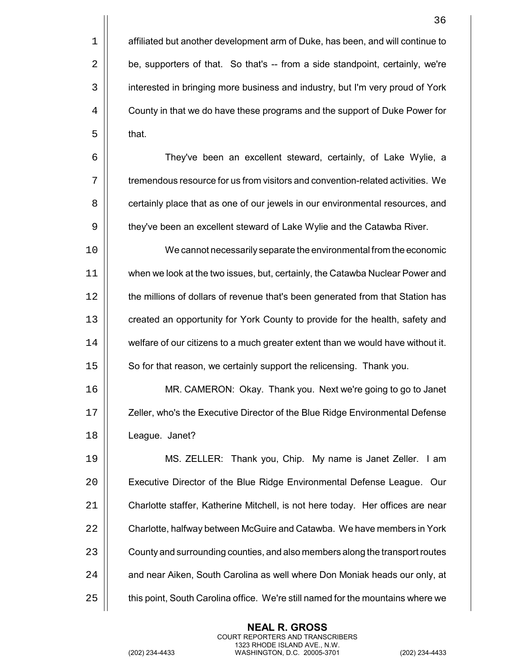36 1 | affiliated but another development arm of Duke, has been, and will continue to  $2 \parallel$  be, supporters of that. So that's  $-$  from a side standpoint, certainly, we're 3 | interested in bringing more business and industry, but I'm very proud of York 4  $\vert\vert$  County in that we do have these programs and the support of Duke Power for  $5 \parallel$  that. 6 They've been an excellent steward, certainly, of Lake Wylie, a

7  $\parallel$  tremendous resource for us from visitors and convention-related activities. We 8  $\vert\vert$  certainly place that as one of our jewels in our environmental resources, and 9  $\vert\vert$  they've been an excellent steward of Lake Wylie and the Catawba River.

10 || We cannot necessarily separate the environmental from the economic 11 when we look at the two issues, but, certainly, the Catawba Nuclear Power and 12 | the millions of dollars of revenue that's been generated from that Station has 13 **Fig.** created an opportunity for York County to provide for the health, safety and 14 | welfare of our citizens to a much greater extent than we would have without it. 15 | So for that reason, we certainly support the relicensing. Thank you.

16 MR. CAMERON: Okay. Thank you. Next we're going to go to Janet 17 | Zeller, who's the Executive Director of the Blue Ridge Environmental Defense 18 League. Janet?

 MS. ZELLER: Thank you, Chip. My name is Janet Zeller. I am 20 | Executive Director of the Blue Ridge Environmental Defense League. Our Charlotte staffer, Katherine Mitchell, is not here today. Her offices are near 22 | Charlotte, halfway between McGuire and Catawba. We have members in York  $\vert$  County and surrounding counties, and also members along the transport routes  $\parallel$  and near Aiken, South Carolina as well where Don Moniak heads our only, at  $\vert$  this point, South Carolina office. We're still named for the mountains where we

> **NEAL R. GROSS** COURT REPORTERS AND TRANSCRIBERS 1323 RHODE ISLAND AVE., N.W.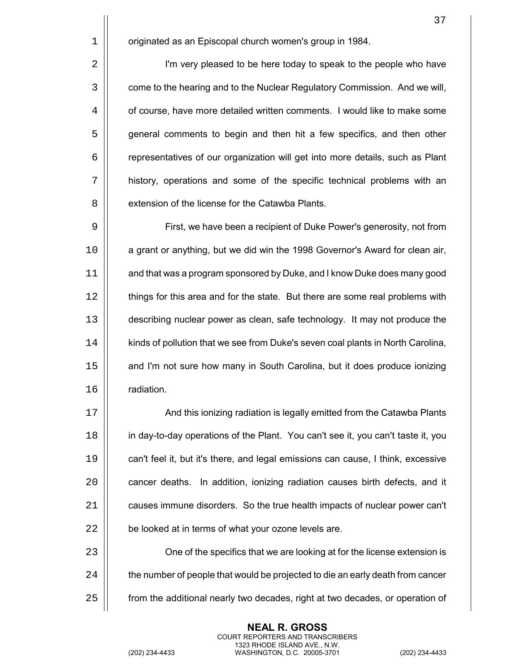1 | originated as an Episcopal church women's group in 1984.

2 | I'm very pleased to be here today to speak to the people who have  $\vert$  come to the hearing and to the Nuclear Regulatory Commission. And we will,  $\vert$  of course, have more detailed written comments. I would like to make some **general comments to begin and then hit a few specifics, and then other**  representatives of our organization will get into more details, such as Plant history, operations and some of the specific technical problems with an 8 II extension of the license for the Catawba Plants.

9 | First, we have been a recipient of Duke Power's generosity, not from 10 | a grant or anything, but we did win the 1998 Governor's Award for clean air, 11 | and that was a program sponsored by Duke, and I know Duke does many good 12 | things for this area and for the state. But there are some real problems with 13 describing nuclear power as clean, safe technology. It may not produce the 14 | | kinds of pollution that we see from Duke's seven coal plants in North Carolina, 15 | and I'm not sure how many in South Carolina, but it does produce ionizing 16 radiation.

17 | And this ionizing radiation is legally emitted from the Catawba Plants 18 in day-to-day operations of the Plant. You can't see it, you can't taste it, you 19 can't feel it, but it's there, and legal emissions can cause, I think, excessive 20 | cancer deaths. In addition, ionizing radiation causes birth defects, and it 21 | causes immune disorders. So the true health impacts of nuclear power can't  $22$  | be looked at in terms of what your ozone levels are.

23 | One of the specifics that we are looking at for the license extension is  $24$   $\parallel$  the number of people that would be projected to die an early death from cancer 25 **f** from the additional nearly two decades, right at two decades, or operation of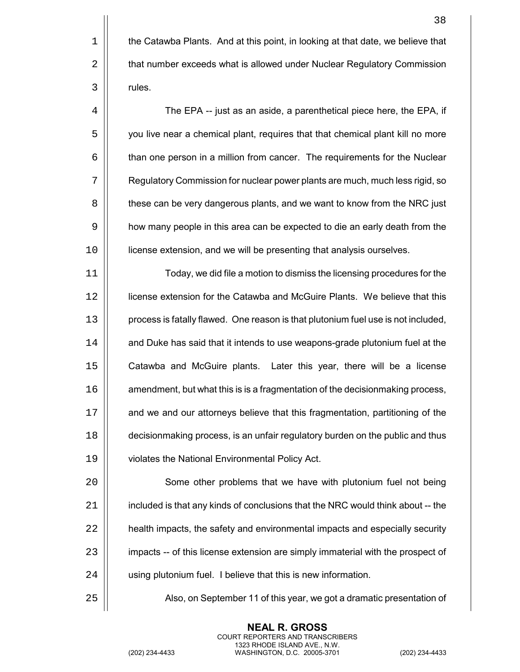4 | The EPA -- just as an aside, a parenthetical piece here, the EPA, if 5 you live near a chemical plant, requires that that chemical plant kill no more 6 | than one person in a million from cancer. The requirements for the Nuclear 7 Regulatory Commission for nuclear power plants are much, much less rigid, so 8  $\vert$  these can be very dangerous plants, and we want to know from the NRC just 9 | how many people in this area can be expected to die an early death from the 10 license extension, and we will be presenting that analysis ourselves.

 Today, we did file a motion to dismiss the licensing procedures for the license extension for the Catawba and McGuire Plants. We believe that this 13 | process is fatally flawed. One reason is that plutonium fuel use is not included, 14 | and Duke has said that it intends to use weapons-grade plutonium fuel at the Catawba and McGuire plants. Later this year, there will be a license  $\parallel$  amendment, but what this is is a fragmentation of the decisionmaking process, 17 | and we and our attorneys believe that this fragmentation, partitioning of the decisionmaking process, is an unfair regulatory burden on the public and thus violates the National Environmental Policy Act.

20 Some other problems that we have with plutonium fuel not being  $21$  | included is that any kinds of conclusions that the NRC would think about -- the 22 **e** health impacts, the safety and environmental impacts and especially security 23 | impacts -- of this license extension are simply immaterial with the prospect of 24 | using plutonium fuel. I believe that this is new information.

25 | Also, on September 11 of this year, we got a dramatic presentation of

**NEAL R. GROSS** COURT REPORTERS AND TRANSCRIBERS 1323 RHODE ISLAND AVE., N.W.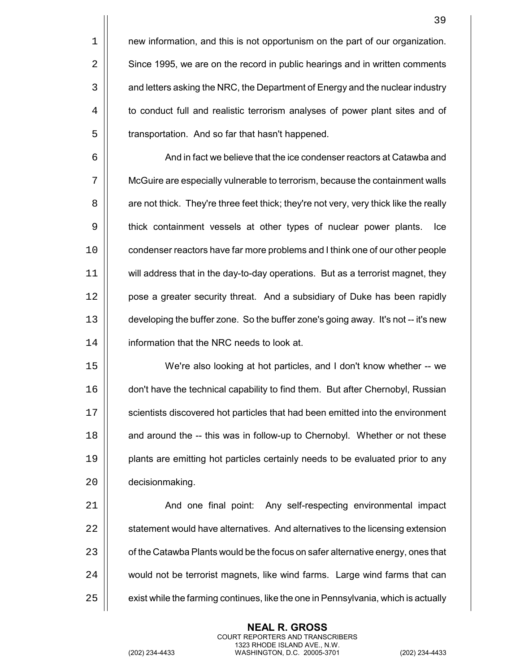| 1 | new information, and this is not opportunism on the part of our organization. |
|---|-------------------------------------------------------------------------------|
| 2 | Since 1995, we are on the record in public hearings and in written comments   |
| 3 | and letters asking the NRC, the Department of Energy and the nuclear industry |
| 4 | to conduct full and realistic terrorism analyses of power plant sites and of  |
| 5 | transportation. And so far that hasn't happened.                              |
| 6 | And in fact we believe that the ice condenser reactors at Catawba and         |
| 7 | McGuire are especially vulnerable to terrorism, because the containment walls |

8 | are not thick. They're three feet thick; they're not very, very thick like the really 9 | thick containment vessels at other types of nuclear power plants. Ice 10 | condenser reactors have far more problems and I think one of our other people will address that in the day-to-day operations. But as a terrorist magnet, they 12 | pose a greater security threat. And a subsidiary of Duke has been rapidly developing the buffer zone. So the buffer zone's going away. It's not -- it's new **information that the NRC needs to look at.** 

 We're also looking at hot particles, and I don't know whether -- we don't have the technical capability to find them. But after Chernobyl, Russian 17 | scientists discovered hot particles that had been emitted into the environment **a** and around the -- this was in follow-up to Chernobyl. Whether or not these **plants are emitting hot particles certainly needs to be evaluated prior to any b** decisionmaking.

21 | And one final point: Any self-respecting environmental impact  $\parallel$  statement would have alternatives. And alternatives to the licensing extension  $\vert$  of the Catawba Plants would be the focus on safer alternative energy, ones that 24 | would not be terrorist magnets, like wind farms. Large wind farms that can  $\parallel$  exist while the farming continues, like the one in Pennsylvania, which is actually

> **NEAL R. GROSS** COURT REPORTERS AND TRANSCRIBERS 1323 RHODE ISLAND AVE., N.W.

 $\mathsf{I}$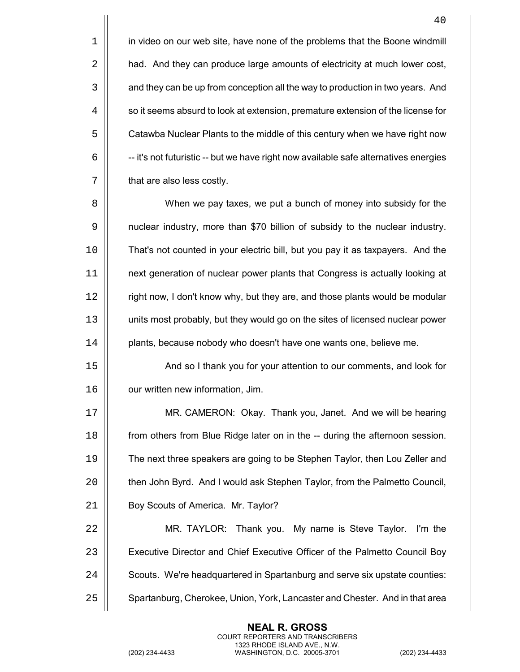1 | in video on our web site, have none of the problems that the Boone windmill 2 | had. And they can produce large amounts of electricity at much lower cost, 3  $\vert\vert$  and they can be up from conception all the way to production in two years. And  $4 \mid \mid$  so it seems absurd to look at extension, premature extension of the license for 5  $\vert\vert$  Catawba Nuclear Plants to the middle of this century when we have right now  $6 \mid$   $-$ -it's not futuristic -- but we have right now available safe alternatives energies  $7 \parallel$  that are also less costly.

8 When we pay taxes, we put a bunch of money into subsidy for the 9 | nuclear industry, more than \$70 billion of subsidy to the nuclear industry. 10 That's not counted in your electric bill, but you pay it as taxpayers. And the 11 next generation of nuclear power plants that Congress is actually looking at 12 | right now, I don't know why, but they are, and those plants would be modular 13 units most probably, but they would go on the sites of licensed nuclear power 14 | plants, because nobody who doesn't have one wants one, believe me.

15 | And so I thank you for your attention to our comments, and look for 16 | our written new information, Jim.

17 MR. CAMERON: Okay. Thank you, Janet. And we will be hearing 18 **from others from Blue Ridge later on in the -- during the afternoon session.** 19 The next three speakers are going to be Stephen Taylor, then Lou Zeller and 20 | then John Byrd. And I would ask Stephen Taylor, from the Palmetto Council, 21 | Boy Scouts of America. Mr. Taylor?

22 MR. TAYLOR: Thank you. My name is Steve Taylor. I'm the 23 | Executive Director and Chief Executive Officer of the Palmetto Council Boy 24 | Scouts. We're headquartered in Spartanburg and serve six upstate counties: 25 | Spartanburg, Cherokee, Union, York, Lancaster and Chester. And in that area

> **NEAL R. GROSS** COURT REPORTERS AND TRANSCRIBERS 1323 RHODE ISLAND AVE., N.W.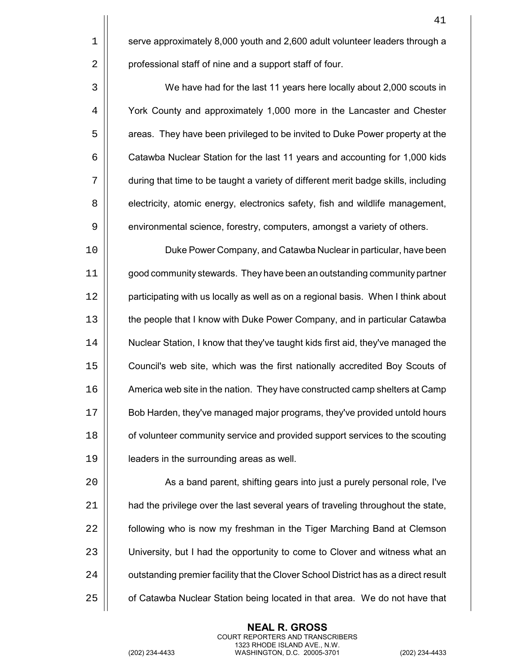1 Serve approximately 8,000 youth and 2,600 adult volunteer leaders through a 2 | professional staff of nine and a support staff of four.

3 We have had for the last 11 years here locally about 2,000 scouts in 4 | York County and approximately 1,000 more in the Lancaster and Chester 5  $\vert\vert$  areas. They have been privileged to be invited to Duke Power property at the 6 | Catawba Nuclear Station for the last 11 years and accounting for 1,000 kids 7 during that time to be taught a variety of different merit badge skills, including 8 | electricity, atomic energy, electronics safety, fish and wildlife management, 9 | environmental science, forestry, computers, amongst a variety of others.

 Duke Power Company, and Catawba Nuclear in particular, have been good community stewards. They have been an outstanding community partner 12 | participating with us locally as well as on a regional basis. When I think about 13 | the people that I know with Duke Power Company, and in particular Catawba Nuclear Station, I know that they've taught kids first aid, they've managed the Council's web site, which was the first nationally accredited Boy Scouts of America web site in the nation. They have constructed camp shelters at Camp Bob Harden, they've managed major programs, they've provided untold hours **o** of volunteer community service and provided support services to the scouting 19 | leaders in the surrounding areas as well.

20 | As a band parent, shifting gears into just a purely personal role, I've  $21$   $\parallel$  had the privilege over the last several years of traveling throughout the state,  $22$   $\parallel$  following who is now my freshman in the Tiger Marching Band at Clemson 23 | University, but I had the opportunity to come to Clover and witness what an 24 | outstanding premier facility that the Clover School District has as a direct result  $25$   $\parallel$  of Catawba Nuclear Station being located in that area. We do not have that

> **NEAL R. GROSS** COURT REPORTERS AND TRANSCRIBERS 1323 RHODE ISLAND AVE., N.W.

41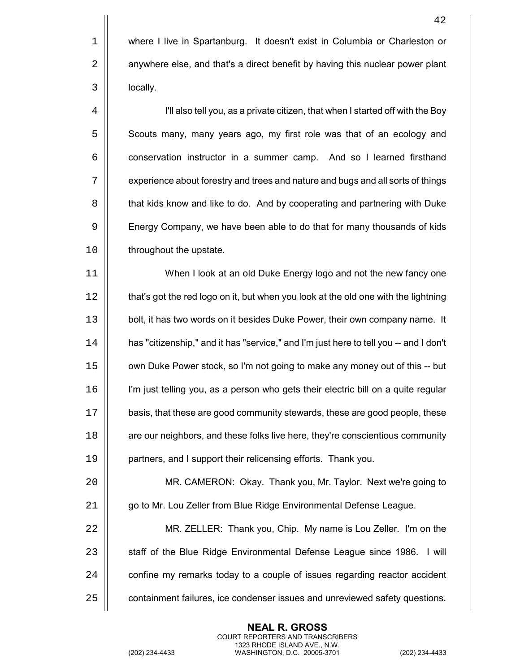1 | where I live in Spartanburg. It doesn't exist in Columbia or Charleston or 2 | anywhere else, and that's a direct benefit by having this nuclear power plant 3 locally.

4 I'll also tell you, as a private citizen, that when I started off with the Boy 5  $\vert$  Scouts many, many years ago, my first role was that of an ecology and 6 **conservation instructor in a summer camp.** And so I learned firsthand 7  $\vert\vert$  experience about forestry and trees and nature and bugs and all sorts of things 8 | that kids know and like to do. And by cooperating and partnering with Duke 9 | Energy Company, we have been able to do that for many thousands of kids 10 | throughout the upstate.

 When I look at an old Duke Energy logo and not the new fancy one 12 | that's got the red logo on it, but when you look at the old one with the lightning 13 | bolt, it has two words on it besides Duke Power, their own company name. It has "citizenship," and it has "service," and I'm just here to tell you -- and I don't own Duke Power stock, so I'm not going to make any money out of this -- but I'm just telling you, as a person who gets their electric bill on a quite regular basis, that these are good community stewards, these are good people, these **are our neighbors, and these folks live here, they're conscientious community** partners, and I support their relicensing efforts. Thank you.

20 MR. CAMERON: Okay. Thank you, Mr. Taylor. Next we're going to 21 |  $\Box$  go to Mr. Lou Zeller from Blue Ridge Environmental Defense League.

 MR. ZELLER: Thank you, Chip. My name is Lou Zeller. I'm on the 23 | staff of the Blue Ridge Environmental Defense League since 1986. I will  $\vert$  confine my remarks today to a couple of issues regarding reactor accident  $\vert$  containment failures, ice condenser issues and unreviewed safety questions.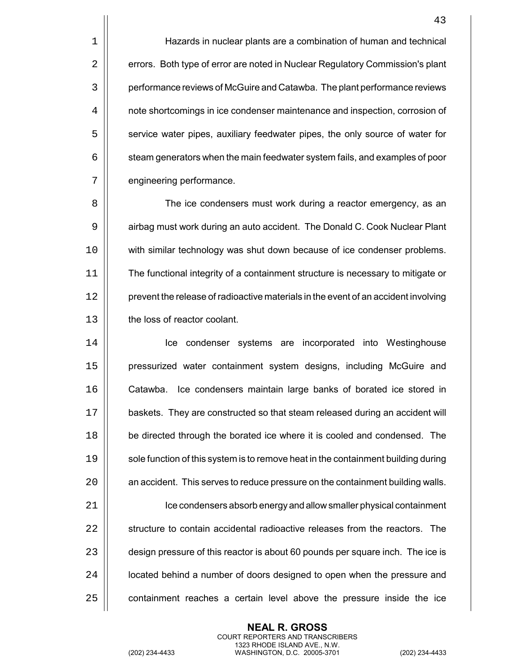1 | Hazards in nuclear plants are a combination of human and technical 2 | errors. Both type of error are noted in Nuclear Regulatory Commission's plant 3 | performance reviews of McGuire and Catawba. The plant performance reviews 4 | note shortcomings in ice condenser maintenance and inspection, corrosion of 5  $\vert$  service water pipes, auxiliary feedwater pipes, the only source of water for  $6 \mid$  steam generators when the main feedwater system fails, and examples of poor 7 | engineering performance.

8 || The ice condensers must work during a reactor emergency, as an 9 | airbag must work during an auto accident. The Donald C. Cook Nuclear Plant 10 with similar technology was shut down because of ice condenser problems. 11 The functional integrity of a containment structure is necessary to mitigate or 12 | prevent the release of radioactive materials in the event of an accident involving 13 **the loss of reactor coolant.** 

 Ice condenser systems are incorporated into Westinghouse pressurized water containment system designs, including McGuire and Catawba. Ice condensers maintain large banks of borated ice stored in baskets. They are constructed so that steam released during an accident will 18 | be directed through the borated ice where it is cooled and condensed. The 19 | sole function of this system is to remove heat in the containment building during  $\parallel$  an accident. This serves to reduce pressure on the containment building walls. Ice condensers absorb energy and allow smaller physical containment 22 II structure to contain accidental radioactive releases from the reactors. The  $\vert$  design pressure of this reactor is about 60 pounds per square inch. The ice is 24 | | cocated behind a number of doors designed to open when the pressure and  $\vert$  containment reaches a certain level above the pressure inside the ice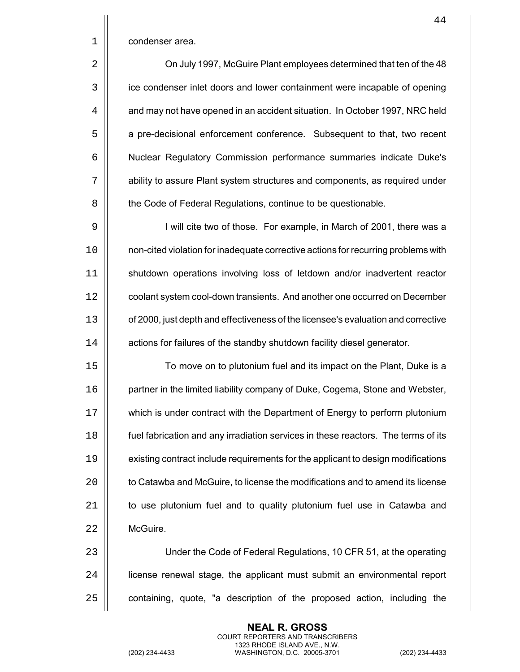|             | 44                                                                                |
|-------------|-----------------------------------------------------------------------------------|
| $\mathbf 1$ | condenser area.                                                                   |
| 2           | On July 1997, McGuire Plant employees determined that ten of the 48               |
| 3           | ice condenser inlet doors and lower containment were incapable of opening         |
| 4           | and may not have opened in an accident situation. In October 1997, NRC held       |
| 5           | a pre-decisional enforcement conference. Subsequent to that, two recent           |
| 6           | Nuclear Regulatory Commission performance summaries indicate Duke's               |
| 7           | ability to assure Plant system structures and components, as required under       |
| 8           | the Code of Federal Regulations, continue to be questionable.                     |
| 9           | I will cite two of those. For example, in March of 2001, there was a              |
| 10          | non-cited violation for inadequate corrective actions for recurring problems with |
| 11          | shutdown operations involving loss of letdown and/or inadvertent reactor          |
| 12          | coolant system cool-down transients. And another one occurred on December         |
| 13          | of 2000, just depth and effectiveness of the licensee's evaluation and corrective |
| 14          | actions for failures of the standby shutdown facility diesel generator.           |
| 15          | To move on to plutonium fuel and its impact on the Plant, Duke is a               |
| 16          | partner in the limited liability company of Duke, Cogema, Stone and Webster,      |
| 17          | which is under contract with the Department of Energy to perform plutonium        |
| 18          | fuel fabrication and any irradiation services in these reactors. The terms of its |
| 19          | existing contract include requirements for the applicant to design modifications  |
| 20          | to Catawba and McGuire, to license the modifications and to amend its license     |
| 21          | to use plutonium fuel and to quality plutonium fuel use in Catawba and            |
| 22          | McGuire.                                                                          |
| 23          | Under the Code of Federal Regulations, 10 CFR 51, at the operating                |
| 24          | license renewal stage, the applicant must submit an environmental report          |
|             |                                                                                   |

containing, quote, "a description of the proposed action, including the

**NEAL R. GROSS** COURT REPORTERS AND TRANSCRIBERS 1323 RHODE ISLAND AVE., N.W.

(202) 234-4433 WASHINGTON, D.C. 20005-3701 (202) 234-4433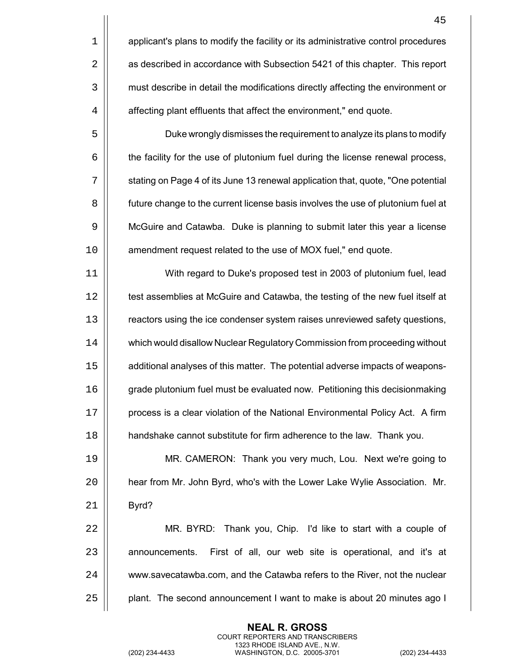|                | 45                                                                                |
|----------------|-----------------------------------------------------------------------------------|
| 1              | applicant's plans to modify the facility or its administrative control procedures |
| $\overline{2}$ | as described in accordance with Subsection 5421 of this chapter. This report      |
| 3              | must describe in detail the modifications directly affecting the environment or   |
| 4              | affecting plant effluents that affect the environment," end quote.                |
| 5              | Duke wrongly dismisses the requirement to analyze its plans to modify             |
| 6              | the facility for the use of plutonium fuel during the license renewal process,    |
| 7              | stating on Page 4 of its June 13 renewal application that, quote, "One potential  |
| 8              | future change to the current license basis involves the use of plutonium fuel at  |
| 9              | McGuire and Catawba. Duke is planning to submit later this year a license         |
| 10             | amendment request related to the use of MOX fuel," end quote.                     |
| 11             | With regard to Duke's proposed test in 2003 of plutonium fuel, lead               |
| 12             | test assemblies at McGuire and Catawba, the testing of the new fuel itself at     |
| 13             | reactors using the ice condenser system raises unreviewed safety questions,       |
| 14             | which would disallow Nuclear Regulatory Commission from proceeding without        |
| 15             | additional analyses of this matter. The potential adverse impacts of weapons-     |
| 16             | grade plutonium fuel must be evaluated now. Petitioning this decisionmaking       |
| 17             | process is a clear violation of the National Environmental Policy Act. A firm     |
| 18             | handshake cannot substitute for firm adherence to the law. Thank you.             |
| 19             | MR. CAMERON: Thank you very much, Lou. Next we're going to                        |
| 20             | hear from Mr. John Byrd, who's with the Lower Lake Wylie Association. Mr.         |
| 21             | Byrd?                                                                             |
| 22             | MR. BYRD: Thank you, Chip. I'd like to start with a couple of                     |
| 23             | First of all, our web site is operational, and it's at<br>announcements.          |
| 24             | www.savecatawba.com, and the Catawba refers to the River, not the nuclear         |
| 25             | plant. The second announcement I want to make is about 20 minutes ago I           |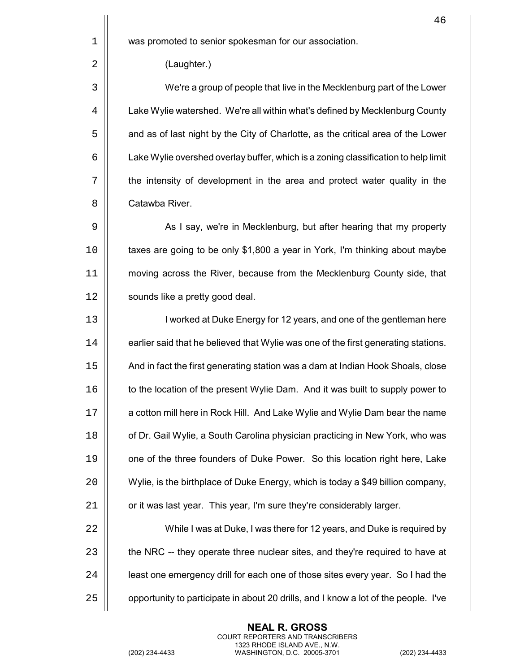1 | was promoted to senior spokesman for our association.

2 (Laughter.)

 We're a group of people that live in the Mecklenburg part of the Lower  $\vert\vert$  Lake Wylie watershed. We're all within what's defined by Mecklenburg County  $\vert$  and as of last night by the City of Charlotte, as the critical area of the Lower  $6 \mid$  Lake Wylie overshed overlay buffer, which is a zoning classification to help limit the intensity of development in the area and protect water quality in the 8 II Catawba River.

9 | As I say, we're in Mecklenburg, but after hearing that my property 10 | taxes are going to be only \$1,800 a year in York, I'm thinking about maybe 11 moving across the River, because from the Mecklenburg County side, that 12 | sounds like a pretty good deal.

13 | I worked at Duke Energy for 12 years, and one of the gentleman here 14  $\vert\vert$  earlier said that he believed that Wylie was one of the first generating stations. 15 And in fact the first generating station was a dam at Indian Hook Shoals, close 16 | to the location of the present Wylie Dam. And it was built to supply power to 17 | a cotton mill here in Rock Hill. And Lake Wylie and Wylie Dam bear the name 18 **Fig. 3** of Dr. Gail Wylie, a South Carolina physician practicing in New York, who was 19 | one of the three founders of Duke Power. So this location right here, Lake 20 Wylie, is the birthplace of Duke Energy, which is today a \$49 billion company,  $21$  |  $\sigma$  it was last year. This year, I'm sure they're considerably larger.

 While I was at Duke, I was there for 12 years, and Duke is required by  $\parallel$  the NRC -- they operate three nuclear sites, and they're required to have at 24 | east one emergency drill for each one of those sites every year. So I had the  $\parallel$  opportunity to participate in about 20 drills, and I know a lot of the people. I've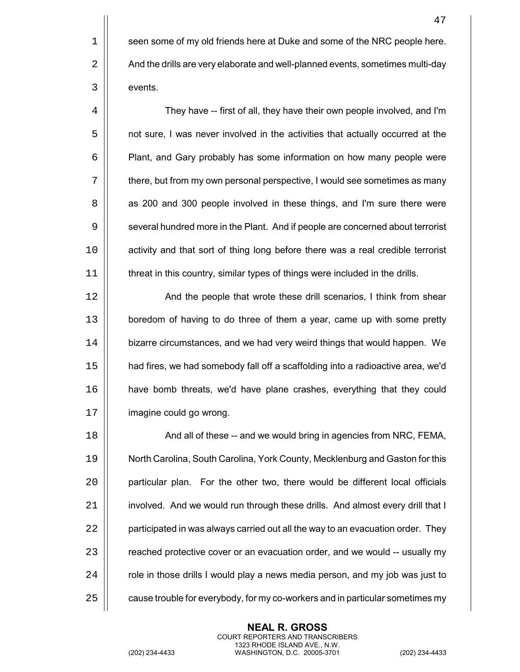1 || seen some of my old friends here at Duke and some of the NRC people here. 2  $\vert$  And the drills are very elaborate and well-planned events, sometimes multi-day 3 | events.

4  $\vert$  They have -- first of all, they have their own people involved, and I'm 5  $\vert$  not sure, I was never involved in the activities that actually occurred at the 6 | Plant, and Gary probably has some information on how many people were 7  $\vert\vert$  there, but from my own personal perspective, I would see sometimes as many 8 || as 200 and 300 people involved in these things, and I'm sure there were 9 | several hundred more in the Plant. And if people are concerned about terrorist 10 | activity and that sort of thing long before there was a real credible terrorist 11 | threat in this country, similar types of things were included in the drills.

12 | And the people that wrote these drill scenarios, I think from shear 13 | boredom of having to do three of them a year, came up with some pretty 14 | bizarre circumstances, and we had very weird things that would happen. We 15 had fires, we had somebody fall off a scaffolding into a radioactive area, we'd 16 have bomb threats, we'd have plane crashes, everything that they could 17 | imagine could go wrong.

 $\parallel$  And all of these -- and we would bring in agencies from NRC, FEMA, North Carolina, South Carolina, York County, Mecklenburg and Gaston for this 20 | particular plan. For the other two, there would be different local officials 21 | involved. And we would run through these drills. And almost every drill that I  $\vert$  participated in was always carried out all the way to an evacuation order. They 23 | reached protective cover or an evacuation order, and we would -- usually my  $\parallel$  role in those drills I would play a news media person, and my job was just to  $\parallel$  cause trouble for everybody, for my co-workers and in particular sometimes my

> **NEAL R. GROSS** COURT REPORTERS AND TRANSCRIBERS 1323 RHODE ISLAND AVE., N.W.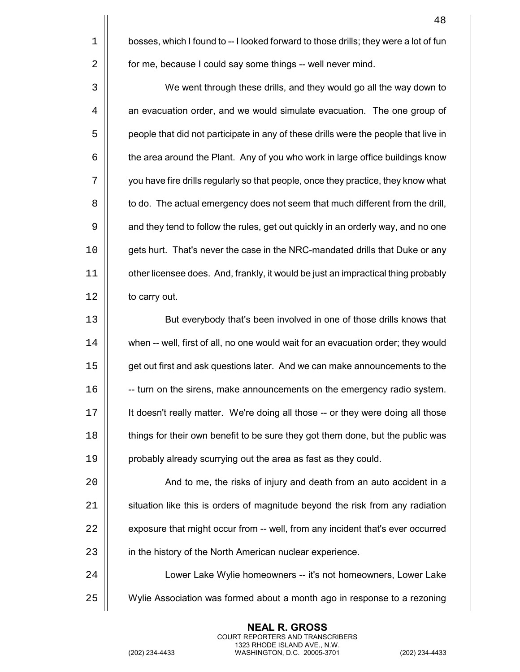$1 \parallel$  bosses, which I found to  $-1$  looked forward to those drills; they were a lot of fun 2 | for me, because I could say some things -- well never mind. 3 We went through these drills, and they would go all the way down to  $4 \mid$  an evacuation order, and we would simulate evacuation. The one group of 5  $\vert$  people that did not participate in any of these drills were the people that live in  $6 \mid$  the area around the Plant. Any of you who work in large office buildings know 7 you have fire drills regularly so that people, once they practice, they know what  $8 \parallel$  to do. The actual emergency does not seem that much different from the drill, 9  $\vert\vert$  and they tend to follow the rules, get out quickly in an orderly way, and no one 10 | gets hurt. That's never the case in the NRC-mandated drills that Duke or any 11 other licensee does. And, frankly, it would be just an impractical thing probably  $12$  | to carry out.

13 || But everybody that's been involved in one of those drills knows that  $\vert\vert$  when -- well, first of all, no one would wait for an evacuation order; they would  $\parallel$  get out first and ask questions later. And we can make announcements to the  $\parallel$  -- turn on the sirens, make announcements on the emergency radio system. It doesn't really matter. We're doing all those -- or they were doing all those **things for their own benefit to be sure they got them done, but the public was** | probably already scurrying out the area as fast as they could.

20 | And to me, the risks of injury and death from an auto accident in a  $21$   $\parallel$  situation like this is orders of magnitude beyond the risk from any radiation  $22$   $\parallel$  exposure that might occur from  $-$  well, from any incident that's ever occurred 23 | in the history of the North American nuclear experience.

24 | Lower Lake Wylie homeowners -- it's not homeowners, Lower Lake 25 Wylie Association was formed about a month ago in response to a rezoning

> **NEAL R. GROSS** COURT REPORTERS AND TRANSCRIBERS 1323 RHODE ISLAND AVE., N.W.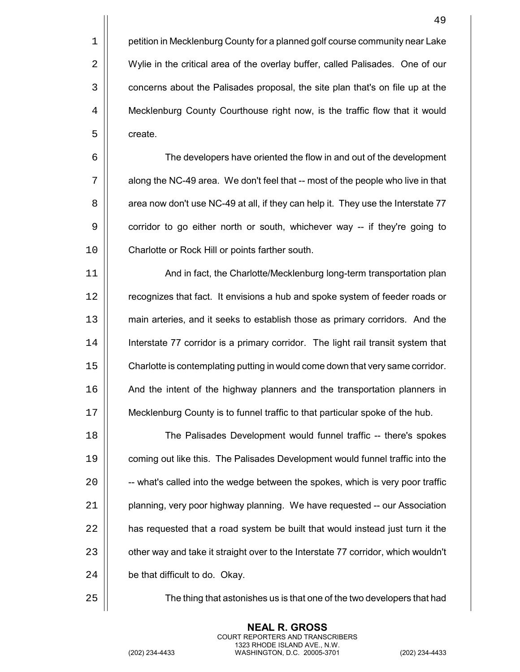1 **petition in Mecklenburg County for a planned golf course community near Lake** 2 | Wylie in the critical area of the overlay buffer, called Palisades. One of our 3  $\vert$  concerns about the Palisades proposal, the site plan that's on file up at the 4 | Mecklenburg County Courthouse right now, is the traffic flow that it would 5 | create.

6 The developers have oriented the flow in and out of the development  $7$   $\parallel$  along the NC-49 area. We don't feel that  $-$  most of the people who live in that 8 | area now don't use NC-49 at all, if they can help it. They use the Interstate 77 9 | corridor to go either north or south, whichever way -- if they're going to 10 | Charlotte or Rock Hill or points farther south.

 And in fact, the Charlotte/Mecklenburg long-term transportation plan 12 | recognizes that fact. It envisions a hub and spoke system of feeder roads or main arteries, and it seeks to establish those as primary corridors. And the Interstate 77 corridor is a primary corridor. The light rail transit system that Charlotte is contemplating putting in would come down that very same corridor. 16 | And the intent of the highway planners and the transportation planners in Mecklenburg County is to funnel traffic to that particular spoke of the hub.

 The Palisades Development would funnel traffic -- there's spokes coming out like this. The Palisades Development would funnel traffic into the  $\parallel$  -- what's called into the wedge between the spokes, which is very poor traffic | planning, very poor highway planning. We have requested  $-$  our Association  $\parallel$  has requested that a road system be built that would instead just turn it the 23 | other way and take it straight over to the Interstate 77 corridor, which wouldn't  $\parallel$  be that difficult to do. Okay.

25 The thing that astonishes us is that one of the two developers that had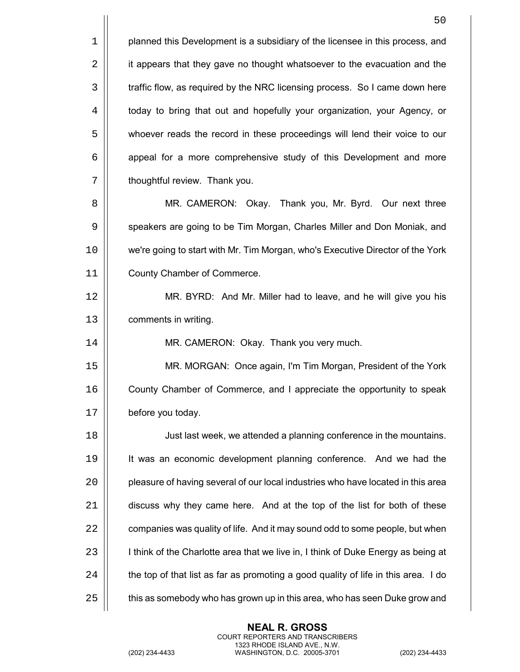1 **planned this Development is a subsidiary of the licensee in this process, and** 2 | it appears that they gave no thought whatsoever to the evacuation and the 3  $\vert$  traffic flow, as required by the NRC licensing process. So I came down here 4  $\vert$  today to bring that out and hopefully your organization, your Agency, or 5 | whoever reads the record in these proceedings will lend their voice to our 6 | appeal for a more comprehensive study of this Development and more  $7$   $\parallel$  thoughtful review. Thank you.

8 || MR. CAMERON: Okay. Thank you, Mr. Byrd. Our next three 9 | speakers are going to be Tim Morgan, Charles Miller and Don Moniak, and 10 we're going to start with Mr. Tim Morgan, who's Executive Director of the York 11 County Chamber of Commerce.

12 MR. BYRD: And Mr. Miller had to leave, and he will give you his 13 comments in writing.

14 MR. CAMERON: Okay. Thank you very much.

15 MR. MORGAN: Once again, I'm Tim Morgan, President of the York 16 County Chamber of Commerce, and I appreciate the opportunity to speak 17 | before you today.

 Just last week, we attended a planning conference in the mountains. It was an economic development planning conference. And we had the 20 | pleasure of having several of our local industries who have located in this area 21 | discuss why they came here. And at the top of the list for both of these  $\parallel$  companies was quality of life. And it may sound odd to some people, but when  $\vert$  I think of the Charlotte area that we live in, I think of Duke Energy as being at  $\parallel$  the top of that list as far as promoting a good quality of life in this area. I do  $\parallel$  this as somebody who has grown up in this area, who has seen Duke grow and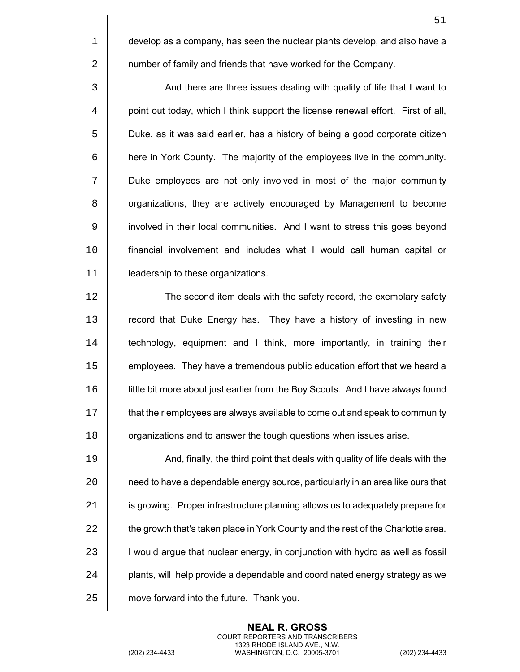$1 \parallel$  develop as a company, has seen the nuclear plants develop, and also have a 2 | number of family and friends that have worked for the Company.

3 | And there are three issues dealing with quality of life that I want to 4 | point out today, which I think support the license renewal effort. First of all, 5  $\vert$  Duke, as it was said earlier, has a history of being a good corporate citizen 6 here in York County. The majority of the employees live in the community. 7 Duke employees are not only involved in most of the major community 8 | organizations, they are actively encouraged by Management to become 9 | involved in their local communities. And I want to stress this goes beyond 10 financial involvement and includes what I would call human capital or 11 leadership to these organizations.

12 | The second item deals with the safety record, the exemplary safety 13 **Fig.** record that Duke Energy has. They have a history of investing in new 14 | technology, equipment and I think, more importantly, in training their 15 | employees. They have a tremendous public education effort that we heard a 16 little bit more about just earlier from the Boy Scouts. And I have always found 17  $\vert\vert$  that their employees are always available to come out and speak to community 18 **organizations and to answer the tough questions when issues arise.** 

 $\parallel$  And, finally, the third point that deals with quality of life deals with the 20 | need to have a dependable energy source, particularly in an area like ours that 21 | is growing. Proper infrastructure planning allows us to adequately prepare for  $\parallel$  the growth that's taken place in York County and the rest of the Charlotte area. | would argue that nuclear energy, in conjunction with hydro as well as fossil | plants, will help provide a dependable and coordinated energy strategy as we  $\vert$  move forward into the future. Thank you.

> **NEAL R. GROSS** COURT REPORTERS AND TRANSCRIBERS

1323 RHODE ISLAND AVE., N.W. (202) 234-4433 WASHINGTON, D.C. 20005-3701 (202) 234-4433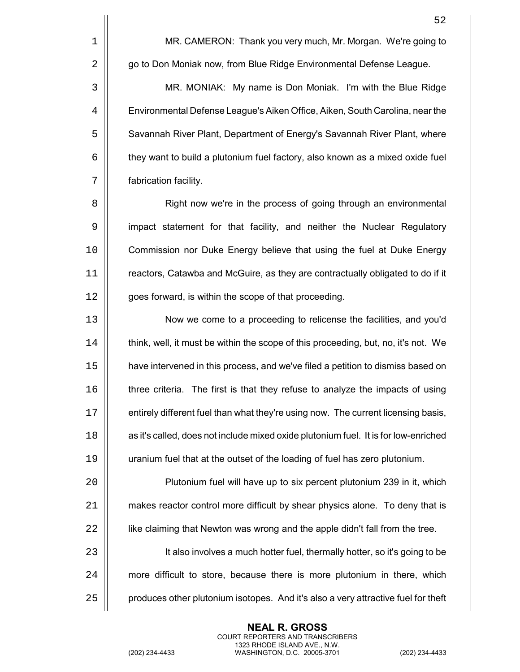52 1 | MR. CAMERON: Thank you very much, Mr. Morgan. We're going to 2 | go to Don Moniak now, from Blue Ridge Environmental Defense League. 3 MR. MONIAK: My name is Don Moniak. I'm with the Blue Ridge 4 Environmental Defense League's Aiken Office, Aiken, South Carolina, near the 5  $\vert$  Savannah River Plant, Department of Energy's Savannah River Plant, where  $6$   $\vert$  they want to build a plutonium fuel factory, also known as a mixed oxide fuel 7 fabrication facility. 8 | Right now we're in the process of going through an environmental 9 | impact statement for that facility, and neither the Nuclear Regulatory 10 Commission nor Duke Energy believe that using the fuel at Duke Energy 11 | reactors, Catawba and McGuire, as they are contractually obligated to do if it 12 | goes forward, is within the scope of that proceeding. 13 Now we come to a proceeding to relicense the facilities, and you'd 14  $\vert\vert$  think, well, it must be within the scope of this proceeding, but, no, it's not. We 15 have intervened in this process, and we've filed a petition to dismiss based on 16 **thare** criteria. The first is that they refuse to analyze the impacts of using 17 | entirely different fuel than what they're using now. The current licensing basis, 18  $\parallel$  as it's called, does not include mixed oxide plutonium fuel. It is for low-enriched 19 uranium fuel that at the outset of the loading of fuel has zero plutonium. 20 Plutonium fuel will have up to six percent plutonium 239 in it, which 21 | makes reactor control more difficult by shear physics alone. To deny that is 22 | like claiming that Newton was wrong and the apple didn't fall from the tree. 23 | It also involves a much hotter fuel, thermally hotter, so it's going to be 24 | more difficult to store, because there is more plutonium in there, which  $25$   $\parallel$  produces other plutonium isotopes. And it's also a very attractive fuel for theft

> **NEAL R. GROSS** COURT REPORTERS AND TRANSCRIBERS 1323 RHODE ISLAND AVE., N.W.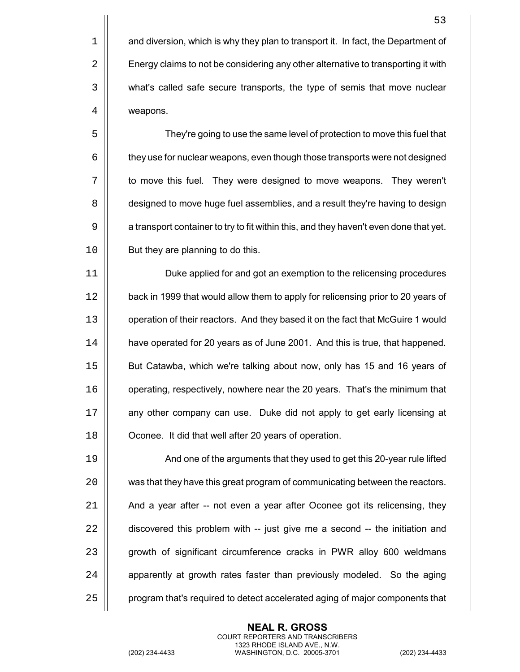5 They're going to use the same level of protection to move this fuel that  $6 \mid$  they use for nuclear weapons, even though those transports were not designed 7 | to move this fuel. They were designed to move weapons. They weren't 8  $\vert\vert$  designed to move huge fuel assemblies, and a result they're having to design 9 | a transport container to try to fit within this, and they haven't even done that yet. 10 | But they are planning to do this.

11 Duke applied for and got an exemption to the relicensing procedures 12 | back in 1999 that would allow them to apply for relicensing prior to 20 years of 13 operation of their reactors. And they based it on the fact that McGuire 1 would 14 have operated for 20 years as of June 2001. And this is true, that happened. 15 But Catawba, which we're talking about now, only has 15 and 16 years of 16 | operating, respectively, nowhere near the 20 years. That's the minimum that 17 | any other company can use. Duke did not apply to get early licensing at 18 | Oconee. It did that well after 20 years of operation.

19 || Cana and one of the arguments that they used to get this 20-year rule lifted 20  $\vert$  was that they have this great program of communicating between the reactors.  $21$  |  $\blacksquare$  And a year after -- not even a year after Oconee got its relicensing, they  $22$   $\parallel$  discovered this problem with  $-$  just give me a second  $-$  the initiation and 23 | growth of significant circumference cracks in PWR alloy 600 weldmans  $24$   $\parallel$  apparently at growth rates faster than previously modeled. So the aging 25 | program that's required to detect accelerated aging of major components that

> **NEAL R. GROSS** COURT REPORTERS AND TRANSCRIBERS 1323 RHODE ISLAND AVE., N.W.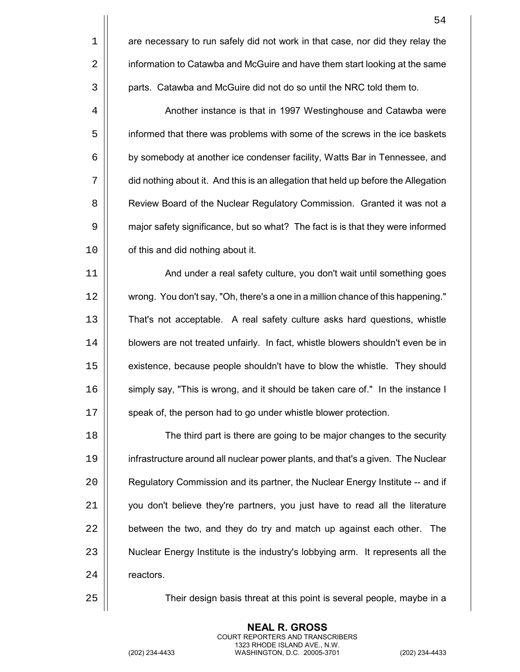54  $1$  |  $\blacksquare$  are necessary to run safely did not work in that case, nor did they relay the 2 | information to Catawba and McGuire and have them start looking at the same 3 | parts. Catawba and McGuire did not do so until the NRC told them to. 4 | Another instance is that in 1997 Westinghouse and Catawba were 5 | informed that there was problems with some of the screws in the ice baskets 6 by somebody at another ice condenser facility, Watts Bar in Tennessee, and 7 did nothing about it. And this is an allegation that held up before the Allegation 8 | Review Board of the Nuclear Regulatory Commission. Granted it was not a 9 | major safety significance, but so what? The fact is is that they were informed  $10$  | cf this and did nothing about it. 11 And under a real safety culture, you don't wait until something goes 12 wrong. You don't say, "Oh, there's a one in a million chance of this happening." 13 That's not acceptable. A real safety culture asks hard questions, whistle

14 | blowers are not treated unfairly. In fact, whistle blowers shouldn't even be in 15 | existence, because people shouldn't have to blow the whistle. They should 16 | simply say, "This is wrong, and it should be taken care of." In the instance I 17 | speak of, the person had to go under whistle blower protection.

 $\parallel$  The third part is there are going to be major changes to the security infrastructure around all nuclear power plants, and that's a given. The Nuclear **Figure 20** Regulatory Commission and its partner, the Nuclear Energy Institute -- and if | vou don't believe they're partners, you just have to read all the literature  $\parallel$  between the two, and they do try and match up against each other. The 23 | Nuclear Energy Institute is the industry's lobbying arm. It represents all the 24 | reactors.

25 Their design basis threat at this point is several people, maybe in a

**NEAL R. GROSS** COURT REPORTERS AND TRANSCRIBERS 1323 RHODE ISLAND AVE., N.W.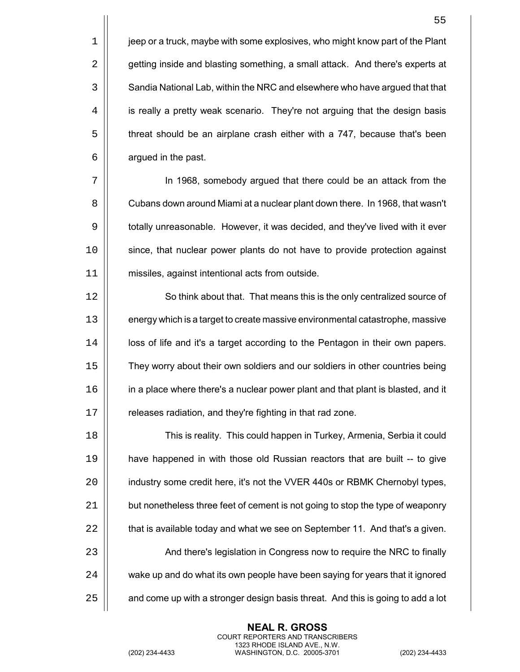$1 \parallel$  jeep or a truck, maybe with some explosives, who might know part of the Plant 2 | getting inside and blasting something, a small attack. And there's experts at 3  $\vert$  Sandia National Lab, within the NRC and elsewhere who have argued that that  $4$  | is really a pretty weak scenario. They're not arguing that the design basis 5 | threat should be an airplane crash either with a 747, because that's been  $6 \parallel$  argued in the past.

 In 1968, somebody argued that there could be an attack from the Cubans down around Miami at a nuclear plant down there. In 1968, that wasn't  $\vert\vert$  totally unreasonable. However, it was decided, and they've lived with it ever since, that nuclear power plants do not have to provide protection against missiles, against intentional acts from outside.

12 || So think about that. That means this is the only centralized source of  $\vert\vert$  energy which is a target to create massive environmental catastrophe, massive 14 | | loss of life and it's a target according to the Pentagon in their own papers. They worry about their own soldiers and our soldiers in other countries being in a place where there's a nuclear power plant and that plant is blasted, and it | releases radiation, and they're fighting in that rad zone.

 This is reality. This could happen in Turkey, Armenia, Serbia it could have happened in with those old Russian reactors that are built -- to give 20 | industry some credit here, it's not the VVER 440s or RBMK Chernobyl types, 21 | but nonetheless three feet of cement is not going to stop the type of weaponry  $\parallel$  that is available today and what we see on September 11. And that's a given. 23 | And there's legislation in Congress now to require the NRC to finally  $\parallel$  wake up and do what its own people have been saying for years that it ignored  $\parallel$  and come up with a stronger design basis threat. And this is going to add a lot

> **NEAL R. GROSS** COURT REPORTERS AND TRANSCRIBERS 1323 RHODE ISLAND AVE., N.W.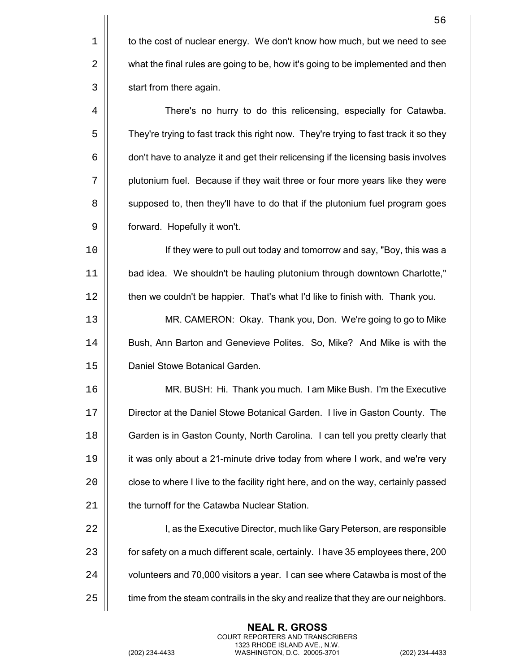$1 \parallel$  to the cost of nuclear energy. We don't know how much, but we need to see 2  $\vert$  what the final rules are going to be, how it's going to be implemented and then 3 | start from there again.

4 There's no hurry to do this relicensing, especially for Catawba. 5  $\vert\vert$  They're trying to fast track this right now. They're trying to fast track it so they  $6 \mid$  don't have to analyze it and get their relicensing if the licensing basis involves 7 | plutonium fuel. Because if they wait three or four more years like they were 8  $\vert$  supposed to, then they'll have to do that if the plutonium fuel program goes 9 | forward. Hopefully it won't.

10 If they were to pull out today and tomorrow and say, "Boy, this was a 11 bad idea. We shouldn't be hauling plutonium through downtown Charlotte," 12 | then we couldn't be happier. That's what I'd like to finish with. Thank you.

13 MR. CAMERON: Okay. Thank you, Don. We're going to go to Mike 14 | Bush, Ann Barton and Genevieve Polites. So, Mike? And Mike is with the 15 | Daniel Stowe Botanical Garden.

 MR. BUSH: Hi. Thank you much. I am Mike Bush. I'm the Executive Director at the Daniel Stowe Botanical Garden. I live in Gaston County. The **Garden is in Gaston County, North Carolina.** I can tell you pretty clearly that 19 | it was only about a 21-minute drive today from where I work, and we're very  $\vert$  close to where I live to the facility right here, and on the way, certainly passed **the turnoff for the Catawba Nuclear Station.** 

22 | Ighthaw Reflerige I, as the Executive Director, much like Gary Peterson, are responsible 23 | for safety on a much different scale, certainly. I have 35 employees there, 200 24  $\vert$  volunteers and 70,000 visitors a year. I can see where Catawba is most of the  $25$   $\parallel$  time from the steam contrails in the sky and realize that they are our neighbors.

> **NEAL R. GROSS** COURT REPORTERS AND TRANSCRIBERS 1323 RHODE ISLAND AVE., N.W.

56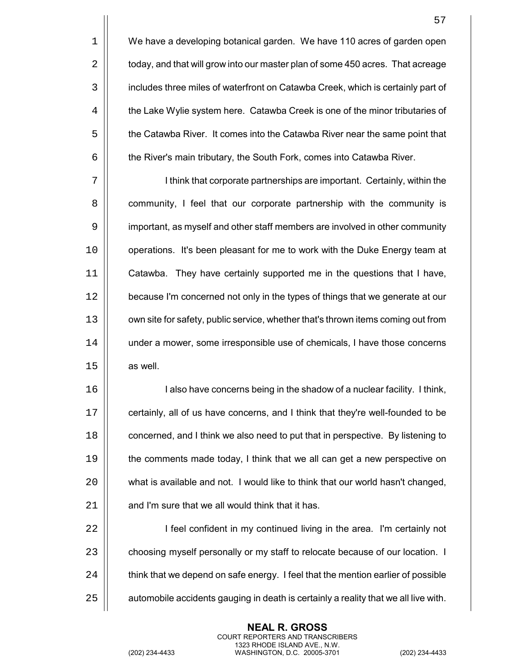$1 \parallel$  We have a developing botanical garden. We have 110 acres of garden open  $2 \parallel$  today, and that will grow into our master plan of some 450 acres. That acreage 3 | includes three miles of waterfront on Catawba Creek, which is certainly part of 4  $\vert$  the Lake Wylie system here. Catawba Creek is one of the minor tributaries of 5  $\vert$  the Catawba River. It comes into the Catawba River near the same point that  $6 \mid$  the River's main tributary, the South Fork, comes into Catawba River.

7 | I think that corporate partnerships are important. Certainly, within the 8 **8** community, I feel that our corporate partnership with the community is 9 | important, as myself and other staff members are involved in other community 10 | operations. It's been pleasant for me to work with the Duke Energy team at 11 Catawba. They have certainly supported me in the questions that I have, 12 | because I'm concerned not only in the types of things that we generate at our 13 | own site for safety, public service, whether that's thrown items coming out from 14 | under a mower, some irresponsible use of chemicals, I have those concerns  $15 \parallel$  as well.

 I also have concerns being in the shadow of a nuclear facility. I think,  $\vert\vert$  certainly, all of us have concerns, and I think that they're well-founded to be **concerned, and I think we also need to put that in perspective.** By listening to **the comments made today, I think that we all can get a new perspective on**  what is available and not. I would like to think that our world hasn't changed, |  $\pm$  and I'm sure that we all would think that it has.

22 | I feel confident in my continued living in the area. I'm certainly not 23 | choosing myself personally or my staff to relocate because of our location. I  $24$   $\parallel$  think that we depend on safe energy. I feel that the mention earlier of possible  $25$   $\parallel$  automobile accidents gauging in death is certainly a reality that we all live with.

> **NEAL R. GROSS** COURT REPORTERS AND TRANSCRIBERS 1323 RHODE ISLAND AVE., N.W.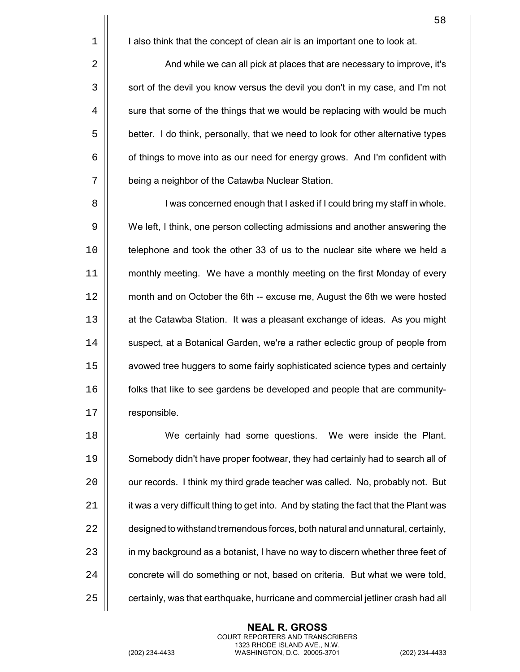$1 \parallel$  I also think that the concept of clean air is an important one to look at.

2 | And while we can all pick at places that are necessary to improve, it's 3 | sort of the devil you know versus the devil you don't in my case, and I'm not  $4 \mid \cdot \cdot \cdot \cdot \cdot \cdot \cdot$  sure that some of the things that we would be replacing with would be much 5  $\vert$  better. I do think, personally, that we need to look for other alternative types  $6 \mid$  of things to move into as our need for energy grows. And I'm confident with 7 | being a neighbor of the Catawba Nuclear Station.

8 I was concerned enough that I asked if I could bring my staff in whole. 9 We left, I think, one person collecting admissions and another answering the 10 | telephone and took the other 33 of us to the nuclear site where we held a 11 | monthly meeting. We have a monthly meeting on the first Monday of every 12 | month and on October the 6th -- excuse me, August the 6th we were hosted 13 | at the Catawba Station. It was a pleasant exchange of ideas. As you might 14 | suspect, at a Botanical Garden, we're a rather eclectic group of people from 15 avowed tree huggers to some fairly sophisticated science types and certainly 16 folks that like to see gardens be developed and people that are community-17 | responsible.

 We certainly had some questions. We were inside the Plant. Somebody didn't have proper footwear, they had certainly had to search all of  $\vert$  our records. I think my third grade teacher was called. No, probably not. But | it was a very difficult thing to get into. And by stating the fact that the Plant was  $\parallel$  designed to withstand tremendous forces, both natural and unnatural, certainly, 23 | in my background as a botanist, I have no way to discern whether three feet of  $\parallel$  concrete will do something or not, based on criteria. But what we were told,  $\parallel$  certainly, was that earthquake, hurricane and commercial jetliner crash had all

> **NEAL R. GROSS** COURT REPORTERS AND TRANSCRIBERS 1323 RHODE ISLAND AVE., N.W.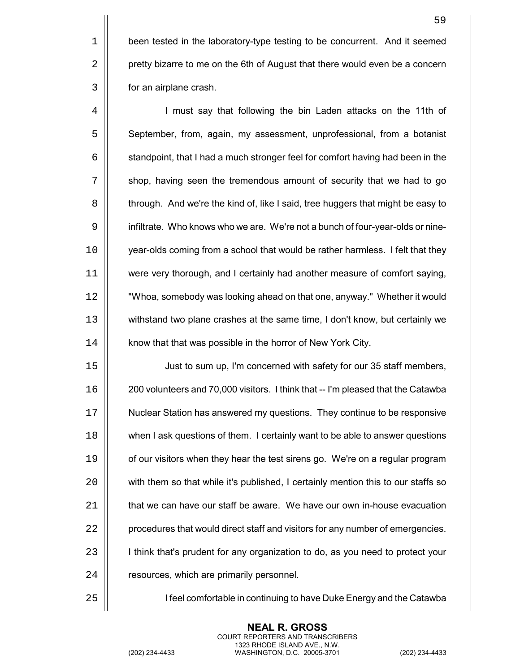$1$  | been tested in the laboratory-type testing to be concurrent. And it seemed 2 | pretty bizarre to me on the 6th of August that there would even be a concern 3 | for an airplane crash.

4 | I must say that following the bin Laden attacks on the 11th of 5 | September, from, again, my assessment, unprofessional, from a botanist  $6 \mid$  standpoint, that I had a much stronger feel for comfort having had been in the  $7$   $\parallel$  shop, having seen the tremendous amount of security that we had to go 8  $\vert$  through. And we're the kind of, like I said, tree huggers that might be easy to 9 | infiltrate. Who knows who we are. We're not a bunch of four-year-olds or nine-10 year-olds coming from a school that would be rather harmless. I felt that they 11 were very thorough, and I certainly had another measure of comfort saying, 12 "Whoa, somebody was looking ahead on that one, anyway." Whether it would 13 withstand two plane crashes at the same time, I don't know, but certainly we 14 | know that that was possible in the horror of New York City.

15 Just to sum up, I'm concerned with safety for our 35 staff members, 16 200 volunteers and 70,000 visitors. I think that -- I'm pleased that the Catawba 17 Nuclear Station has answered my questions. They continue to be responsive 18 **when I ask questions of them. I certainly want to be able to answer questions** 19  $\parallel$  of our visitors when they hear the test sirens go. We're on a regular program 20 | with them so that while it's published, I certainly mention this to our staffs so  $21$   $\parallel$  that we can have our staff be aware. We have our own in-house evacuation 22 | procedures that would direct staff and visitors for any number of emergencies. 23 | think that's prudent for any organization to do, as you need to protect your 24 | resources, which are primarily personnel.

25 | I seel comfortable in continuing to have Duke Energy and the Catawba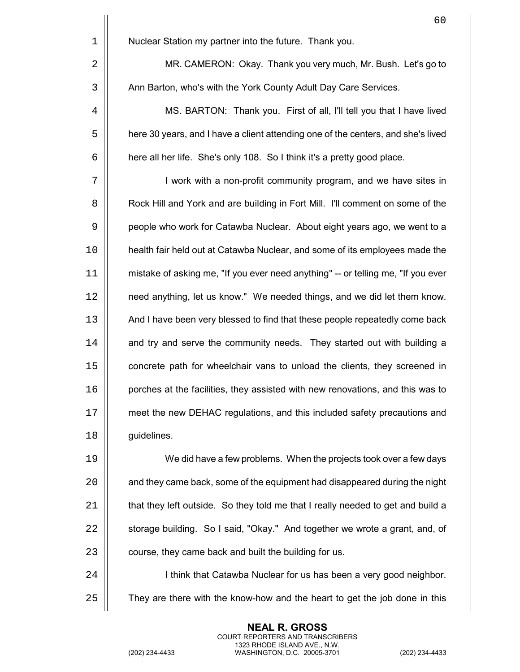|             | 60                                                                               |
|-------------|----------------------------------------------------------------------------------|
| $\mathbf 1$ | Nuclear Station my partner into the future. Thank you.                           |
| 2           | MR. CAMERON: Okay. Thank you very much, Mr. Bush. Let's go to                    |
| 3           | Ann Barton, who's with the York County Adult Day Care Services.                  |
| 4           | MS. BARTON: Thank you. First of all, I'll tell you that I have lived             |
| 5           | here 30 years, and I have a client attending one of the centers, and she's lived |
| 6           | here all her life. She's only 108. So I think it's a pretty good place.          |
| 7           | I work with a non-profit community program, and we have sites in                 |
| 8           | Rock Hill and York and are building in Fort Mill. I'll comment on some of the    |
| 9           | people who work for Catawba Nuclear. About eight years ago, we went to a         |
| 10          | health fair held out at Catawba Nuclear, and some of its employees made the      |
| 11          | mistake of asking me, "If you ever need anything" -- or telling me, "If you ever |
| 12          | need anything, let us know." We needed things, and we did let them know.         |
| 13          | And I have been very blessed to find that these people repeatedly come back      |
| 14          | and try and serve the community needs. They started out with building a          |
| 15          | concrete path for wheelchair vans to unload the clients, they screened in        |
| 16          | porches at the facilities, they assisted with new renovations, and this was to   |
| 17          | meet the new DEHAC regulations, and this included safety precautions and         |
| 18          | guidelines.                                                                      |
| 19          | We did have a few problems. When the projects took over a few days               |
| 20          | and they came back, some of the equipment had disappeared during the night       |
| 21          | that they left outside. So they told me that I really needed to get and build a  |
| 22          | storage building. So I said, "Okay." And together we wrote a grant, and, of      |
| 23          | course, they came back and built the building for us.                            |
| 24          | I think that Catawba Nuclear for us has been a very good neighbor.               |
| 25          | They are there with the know-how and the heart to get the job done in this       |
|             |                                                                                  |

(202) 234-4433 WASHINGTON, D.C. 20005-3701 (202) 234-4433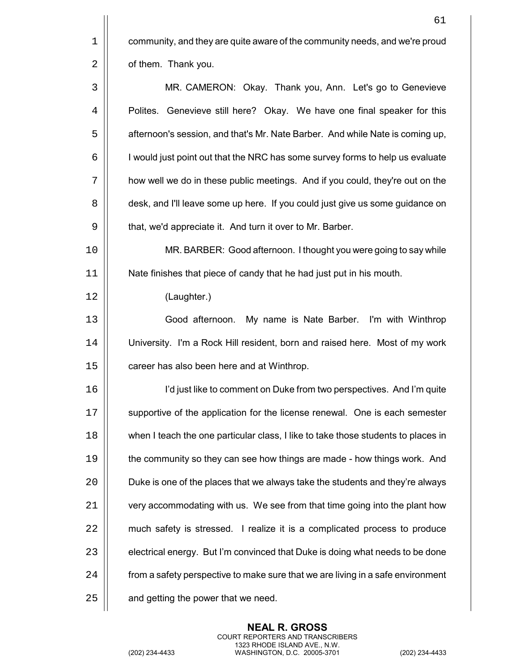| 1 | community, and they are quite aware of the community needs, and we're proud |
|---|-----------------------------------------------------------------------------|
| 2 | of them. Thank you.                                                         |

3 MR. CAMERON: Okay. Thank you, Ann. Let's go to Genevieve 4 | Polites. Genevieve still here? Okay. We have one final speaker for this 5 | afternoon's session, and that's Mr. Nate Barber. And while Nate is coming up,  $6 \mid$  I would just point out that the NRC has some survey forms to help us evaluate 7 how well we do in these public meetings. And if you could, they're out on the 8  $\vert$  desk, and I'll leave some up here. If you could just give us some guidance on 9 | that, we'd appreciate it. And turn it over to Mr. Barber.

10 MR. BARBER: Good afternoon. I thought you were going to say while 11 Nate finishes that piece of candy that he had just put in his mouth.

12 (Laughter.)

13 Good afternoon. My name is Nate Barber. I'm with Winthrop 14 University. I'm a Rock Hill resident, born and raised here. Most of my work 15 | career has also been here and at Winthrop.

16 Iíd just like to comment on Duke from two perspectives. And Iím quite 17 | supportive of the application for the license renewal. One is each semester 18 | when I teach the one particular class, I like to take those students to places in 19 **the community so they can see how things are made - how things work.** And 20  $\vert$  Duke is one of the places that we always take the students and they're always  $21$   $\parallel$  very accommodating with us. We see from that time going into the plant how 22 | much safety is stressed. I realize it is a complicated process to produce 23  $\vert$  electrical energy. But I'm convinced that Duke is doing what needs to be done 24 | from a safety perspective to make sure that we are living in a safe environment  $25$   $\parallel$  and getting the power that we need.